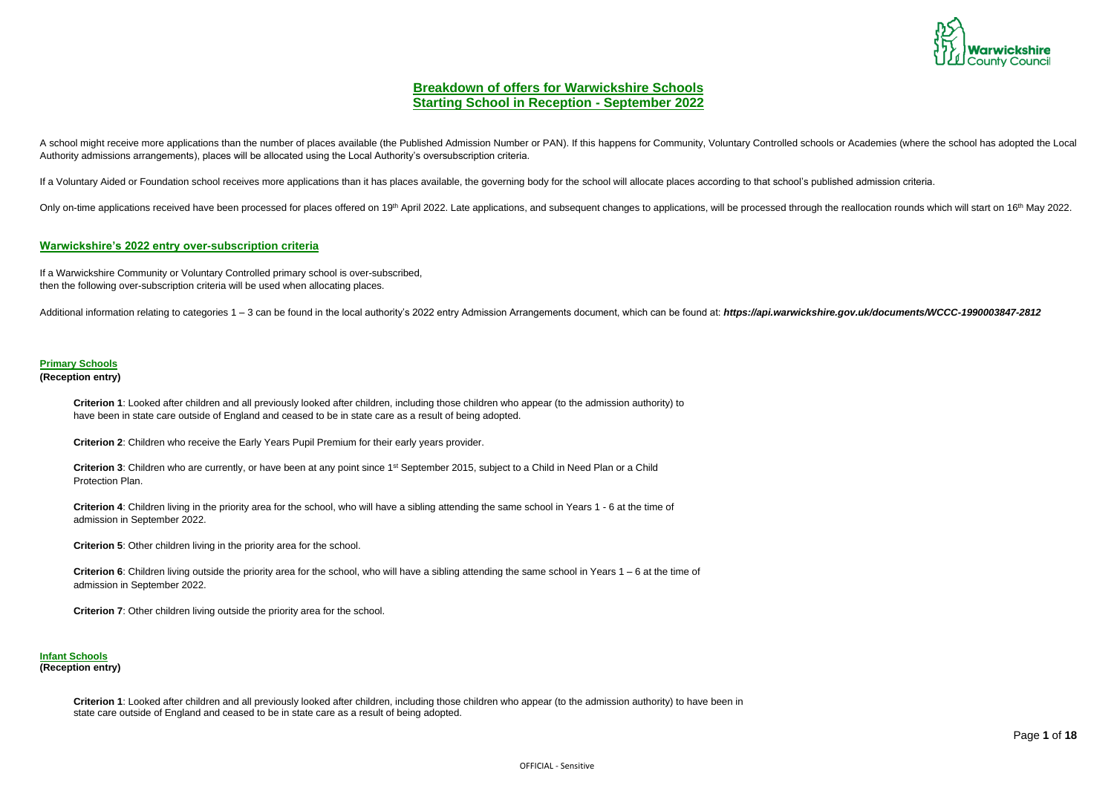Page **1** of **18**



# **Breakdown of offers for Warwickshire Schools Starting School in Reception - September 2022**

A school might receive more applications than the number of places available (the Published Admission Number or PAN). If this happens for Community, Voluntary Controlled schools or Academies (where the school has adopted t Authority admissions arrangements), places will be allocated using the Local Authority's oversubscription criteria.

If a Voluntary Aided or Foundation school receives more applications than it has places available, the governing body for the school will allocate places according to that school's published admission criteria.

Only on-time applications received have been processed for places offered on 19<sup>th</sup> April 2022. Late applications, and subsequent changes to applications, will be processed through the reallocation rounds which will start

Criterion 3: Children who are currently, or have been at any point since 1<sup>st</sup> September 2015, subject to a Child in Need Plan or a Child Protection Plan.

# **Warwickshire's 2022 entry over-subscription criteria**

If a Warwickshire Community or Voluntary Controlled primary school is over-subscribed, then the following over-subscription criteria will be used when allocating places.

Additional information relating to categories 1 - 3 can be found in the local authority's 2022 entry Admission Arrangements document, which can be found at: https://api.warwickshire.gov.uk/documents/WCCC-1990003847-2812

#### **Primary Schools**

#### **(Reception entry)**

**Criterion 1**: Looked after children and all previously looked after children, including those children who appear (to the admission authority) to have been in state care outside of England and ceased to be in state care as a result of being adopted.

**Criterion 2**: Children who receive the Early Years Pupil Premium for their early years provider.

**Criterion 4**: Children living in the priority area for the school, who will have a sibling attending the same school in Years 1 - 6 at the time of admission in September 2022.

**Criterion 5**: Other children living in the priority area for the school.

**Criterion 6**: Children living outside the priority area for the school, who will have a sibling attending the same school in Years 1 – 6 at the time of admission in September 2022.

**Criterion 7:** Other children living outside the priority area for the school.

# **Infant Schools**

#### **(Reception entry)**

**Criterion 1**: Looked after children and all previously looked after children, including those children who appear (to the admission authority) to have been in state care outside of England and ceased to be in state care as a result of being adopted.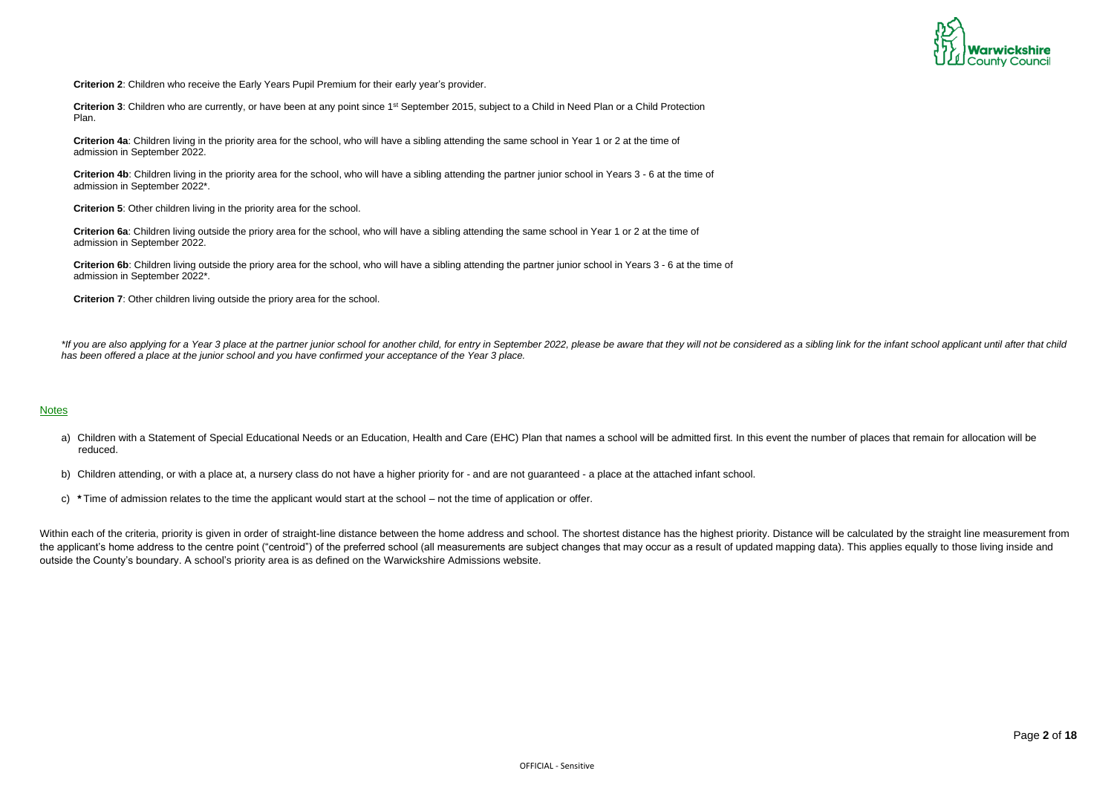Page **2** of **18**



**Criterion 2**: Children who receive the Early Years Pupil Premium for their early year's provider.

**Criterion 3**: Children who are currently, or have been at any point since 1<sup>st</sup> September 2015, subject to a Child in Need Plan or a Child Protection Plan.

**Criterion 4a**: Children living in the priority area for the school, who will have a sibling attending the same school in Year 1 or 2 at the time of admission in September 2022.

**Criterion 4b**: Children living in the priority area for the school, who will have a sibling attending the partner junior school in Years 3 - 6 at the time of admission in September 2022\*.

**Criterion 5**: Other children living in the priority area for the school.

\*If you are also applying for a Year 3 place at the partner junior school for another child, for entry in September 2022, please be aware that they will not be considered as a sibling link for the infant school applicant u *has been offered a place at the junior school and you have confirmed your acceptance of the Year 3 place.*

**Criterion 6a**: Children living outside the priory area for the school, who will have a sibling attending the same school in Year 1 or 2 at the time of admission in September 2022.

**Criterion 6b**: Children living outside the priory area for the school, who will have a sibling attending the partner junior school in Years 3 - 6 at the time of admission in September 2022\*.

- a) Children with a Statement of Special Educational Needs or an Education, Health and Care (EHC) Plan that names a school will be admitted first. In this event the number of places that remain for allocation will be reduced.
- b) Children attending, or with a place at, a nursery class do not have a higher priority for and are not guaranteed a place at the attached infant school.
- c) **\*** Time of admission relates to the time the applicant would start at the school not the time of application or offer.

**Criterion 7**: Other children living outside the priory area for the school.

Within each of the criteria, priority is given in order of straight-line distance between the home address and school. The shortest distance has the highest priority. Distance will be calculated by the straight line measur the applicant's home address to the centre point ("centroid") of the preferred school (all measurements are subject changes that may occur as a result of updated mapping data). This applies equally to those living inside and outside the County's boundary. A school's priority area is as defined on the Warwickshire Admissions website.

# Notes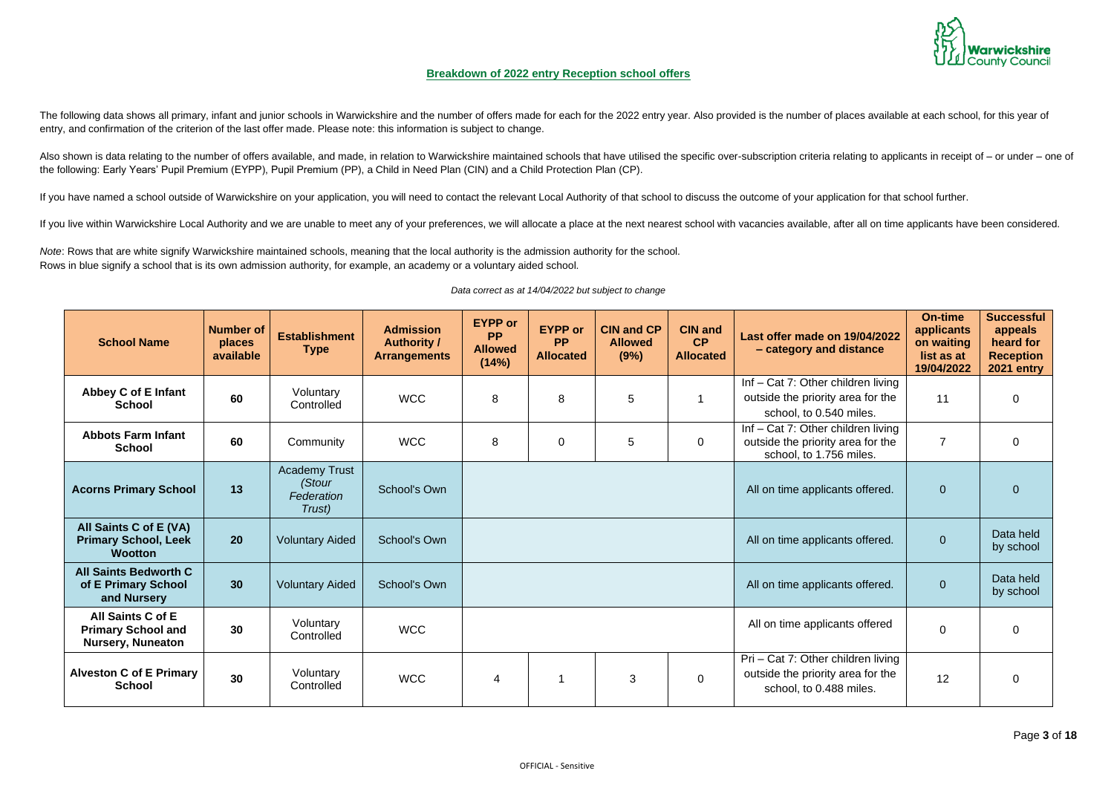Page **3** of **18**



# **Breakdown of 2022 entry Reception school offers**

The following data shows all primary, infant and junior schools in Warwickshire and the number of offers made for each for the 2022 entry year. Also provided is the number of places available at each school, for this year entry, and confirmation of the criterion of the last offer made. Please note: this information is subject to change.

Also shown is data relating to the number of offers available, and made, in relation to Warwickshire maintained schools that have utilised the specific over-subscription criteria relating to applicants in receipt of – or u the following: Early Years' Pupil Premium (EYPP), Pupil Premium (PP), a Child in Need Plan (CIN) and a Child Protection Plan (CP).

If you have named a school outside of Warwickshire on your application, you will need to contact the relevant Local Authority of that school to discuss the outcome of your application for that school further.

If you live within Warwickshire Local Authority and we are unable to meet any of your preferences, we will allocate a place at the next nearest school with vacancies available, after all on time applicants have been consid

*Note*: Rows that are white signify Warwickshire maintained schools, meaning that the local authority is the admission authority for the school. Rows in blue signify a school that is its own admission authority, for example, an academy or a voluntary aided school.

#### *Data correct as at 14/04/2022 but subject to change*

| <b>School Name</b>                                                         | <b>Number of</b><br>places<br>available | <b>Establishment</b><br><b>Type</b>                    | <b>Admission</b><br><b>Authority /</b><br><b>Arrangements</b> | <b>EYPP or</b><br><b>PP</b><br><b>Allowed</b><br>(14%) | <b>EYPP or</b><br><b>PP</b><br><b>Allocated</b> | <b>CIN and CP</b><br><b>Allowed</b><br>(9%) | <b>CIN and</b><br><b>CP</b><br><b>Allocated</b> | Last offer made on 19/04/2022<br>- category and distance                                           | <b>On-time</b><br>applicants<br>on waiting<br>list as at<br>19/04/2022 | <b>Successful</b><br>appeals<br>heard for<br><b>Reception</b><br>2021 entry |
|----------------------------------------------------------------------------|-----------------------------------------|--------------------------------------------------------|---------------------------------------------------------------|--------------------------------------------------------|-------------------------------------------------|---------------------------------------------|-------------------------------------------------|----------------------------------------------------------------------------------------------------|------------------------------------------------------------------------|-----------------------------------------------------------------------------|
| <b>Abbey C of E Infant</b><br><b>School</b>                                | 60                                      | Voluntary<br>Controlled                                | <b>WCC</b>                                                    | 8                                                      | 8                                               | 5                                           |                                                 | Inf - Cat 7: Other children living<br>outside the priority area for the<br>school, to 0.540 miles. | 11                                                                     | 0                                                                           |
| <b>Abbots Farm Infant</b><br><b>School</b>                                 | 60                                      | Community                                              | <b>WCC</b>                                                    | 8                                                      | $\overline{0}$                                  | 5                                           | $\overline{0}$                                  | Inf - Cat 7: Other children living<br>outside the priority area for the<br>school, to 1.756 miles. | $\overline{7}$                                                         | $\overline{0}$                                                              |
| <b>Acorns Primary School</b>                                               | 13                                      | <b>Academy Trust</b><br>(Stour<br>Federation<br>Trust) | School's Own                                                  |                                                        |                                                 |                                             |                                                 | All on time applicants offered.                                                                    | $\overline{0}$                                                         | $\overline{0}$                                                              |
| All Saints C of E (VA)<br><b>Primary School, Leek</b><br><b>Wootton</b>    | 20                                      | <b>Voluntary Aided</b>                                 | School's Own                                                  |                                                        |                                                 |                                             |                                                 | All on time applicants offered.                                                                    | $\overline{0}$                                                         | Data held<br>by school                                                      |
| <b>All Saints Bedworth C</b><br>of E Primary School<br>and Nursery         | 30 <sup>°</sup>                         | <b>Voluntary Aided</b>                                 | School's Own                                                  |                                                        |                                                 |                                             |                                                 | All on time applicants offered.                                                                    | $\overline{0}$                                                         | Data held<br>by school                                                      |
| All Saints C of E<br><b>Primary School and</b><br><b>Nursery, Nuneaton</b> | 30                                      | Voluntary<br>Controlled                                | <b>WCC</b>                                                    |                                                        |                                                 |                                             |                                                 | All on time applicants offered                                                                     | $\overline{0}$                                                         | 0                                                                           |
| <b>Alveston C of E Primary</b><br><b>School</b>                            | 30                                      | Voluntary<br>Controlled                                | <b>WCC</b>                                                    | $\overline{4}$                                         | $\overline{1}$                                  | 3                                           | $\mathbf 0$                                     | Pri - Cat 7: Other children living<br>outside the priority area for the<br>school, to 0.488 miles. | 12                                                                     | 0                                                                           |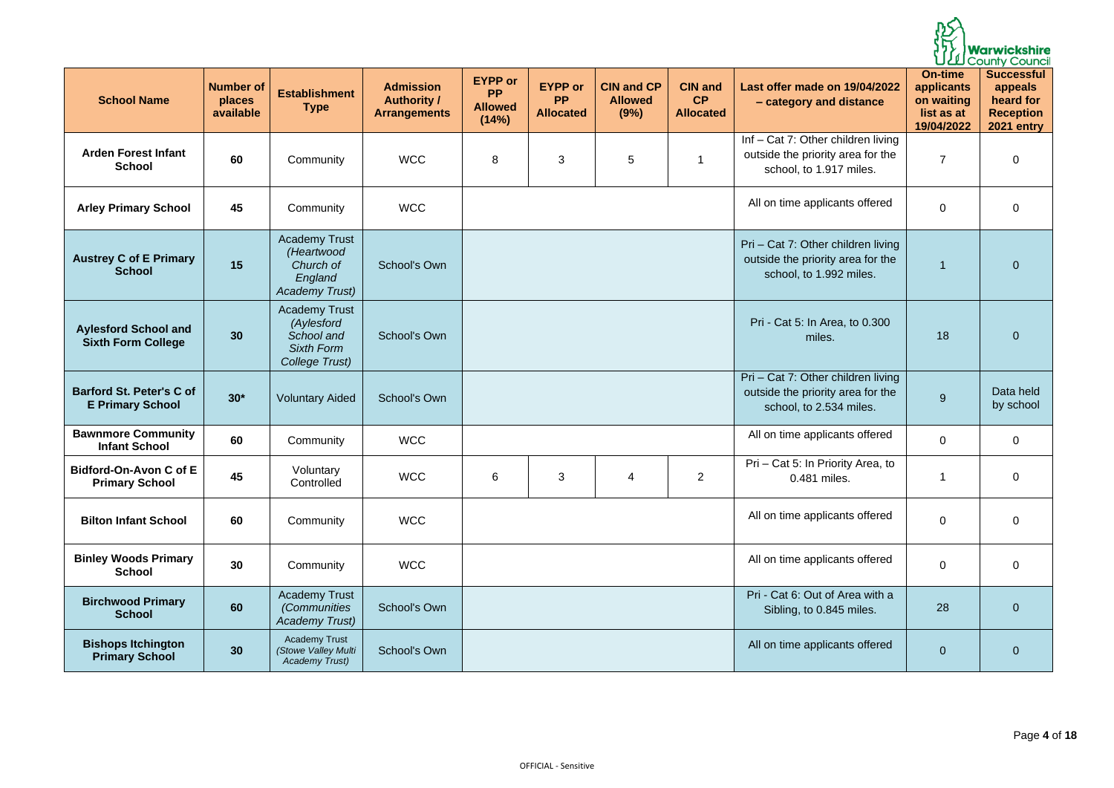|                                                            |                                         |                                                                                     |                                                               |                                                        |                                                 |                                             |                                                 |                                                                                                    |                                                                        | Warwickshire  <br>LLI County Council                                               |
|------------------------------------------------------------|-----------------------------------------|-------------------------------------------------------------------------------------|---------------------------------------------------------------|--------------------------------------------------------|-------------------------------------------------|---------------------------------------------|-------------------------------------------------|----------------------------------------------------------------------------------------------------|------------------------------------------------------------------------|------------------------------------------------------------------------------------|
| <b>School Name</b>                                         | <b>Number of</b><br>places<br>available | <b>Establishment</b><br><b>Type</b>                                                 | <b>Admission</b><br><b>Authority /</b><br><b>Arrangements</b> | <b>EYPP or</b><br><b>PP</b><br><b>Allowed</b><br>(14%) | <b>EYPP</b> or<br><b>PP</b><br><b>Allocated</b> | <b>CIN and CP</b><br><b>Allowed</b><br>(9%) | <b>CIN and</b><br><b>CP</b><br><b>Allocated</b> | Last offer made on 19/04/2022<br>- category and distance                                           | <b>On-time</b><br>applicants<br>on waiting<br>list as at<br>19/04/2022 | <b>Successful</b><br>appeals<br>heard for<br><b>Reception</b><br><b>2021 entry</b> |
| <b>Arden Forest Infant</b><br><b>School</b>                | 60                                      | Community                                                                           | <b>WCC</b>                                                    | 8                                                      | 3                                               | 5                                           | $\blacktriangleleft$                            | Inf - Cat 7: Other children living<br>outside the priority area for the<br>school, to 1.917 miles. | $\overline{7}$                                                         | $\overline{0}$                                                                     |
| <b>Arley Primary School</b>                                | 45                                      | Community                                                                           | <b>WCC</b>                                                    |                                                        |                                                 |                                             |                                                 | All on time applicants offered                                                                     | $\mathbf 0$                                                            | $\mathbf 0$                                                                        |
| <b>Austrey C of E Primary</b><br><b>School</b>             | 15                                      | <b>Academy Trust</b><br>(Heartwood<br>Church of<br>England<br><b>Academy Trust)</b> | School's Own                                                  |                                                        |                                                 |                                             |                                                 | Pri - Cat 7: Other children living<br>outside the priority area for the<br>school, to 1.992 miles. | 1                                                                      | $\overline{0}$                                                                     |
| <b>Aylesford School and</b><br><b>Sixth Form College</b>   | 30                                      | <b>Academy Trust</b><br>(Aylesford<br>School and<br>Sixth Form<br>College Trust)    | School's Own                                                  |                                                        |                                                 |                                             |                                                 | Pri - Cat 5: In Area, to 0.300<br>miles.                                                           | 18                                                                     | $\overline{0}$                                                                     |
| <b>Barford St. Peter's C of</b><br><b>E Primary School</b> | $30*$                                   | <b>Voluntary Aided</b>                                                              | <b>School's Own</b>                                           |                                                        |                                                 |                                             |                                                 | Pri - Cat 7: Other children living<br>outside the priority area for the<br>school, to 2.534 miles. | 9                                                                      | Data held<br>by school                                                             |
| <b>Bawnmore Community</b><br><b>Infant School</b>          | 60                                      | Community                                                                           | <b>WCC</b>                                                    |                                                        |                                                 |                                             |                                                 | All on time applicants offered                                                                     | $\overline{0}$                                                         | $\mathbf 0$                                                                        |
| <b>Bidford-On-Avon C of E</b><br><b>Primary School</b>     | 45                                      | Voluntary<br>Controlled                                                             | <b>WCC</b>                                                    | $6\,$                                                  | 3                                               | 4                                           | $\overline{2}$                                  | Pri - Cat 5: In Priority Area, to<br>0.481 miles.                                                  |                                                                        | $\mathbf 0$                                                                        |
| <b>Bilton Infant School</b>                                | 60                                      | Community                                                                           | <b>WCC</b>                                                    |                                                        |                                                 |                                             |                                                 | All on time applicants offered                                                                     | $\mathbf 0$                                                            | $\mathbf 0$                                                                        |
| <b>Binley Woods Primary</b><br><b>School</b>               | 30                                      | Community                                                                           | <b>WCC</b>                                                    |                                                        |                                                 |                                             |                                                 | All on time applicants offered                                                                     | $\mathbf 0$                                                            | $\mathbf 0$                                                                        |
| <b>Birchwood Primary</b><br><b>School</b>                  | 60                                      | <b>Academy Trust</b><br><i>(Communities</i><br><b>Academy Trust)</b>                | School's Own                                                  |                                                        |                                                 |                                             |                                                 | Pri - Cat 6: Out of Area with a<br>Sibling, to 0.845 miles.                                        | 28                                                                     | $\overline{0}$                                                                     |
| <b>Bishops Itchington</b><br><b>Primary School</b>         | 30                                      | <b>Academy Trust</b><br>(Stowe Valley Multi<br>Academy Trust)                       | School's Own                                                  |                                                        |                                                 |                                             |                                                 | All on time applicants offered                                                                     | $\overline{0}$                                                         | $\overline{0}$                                                                     |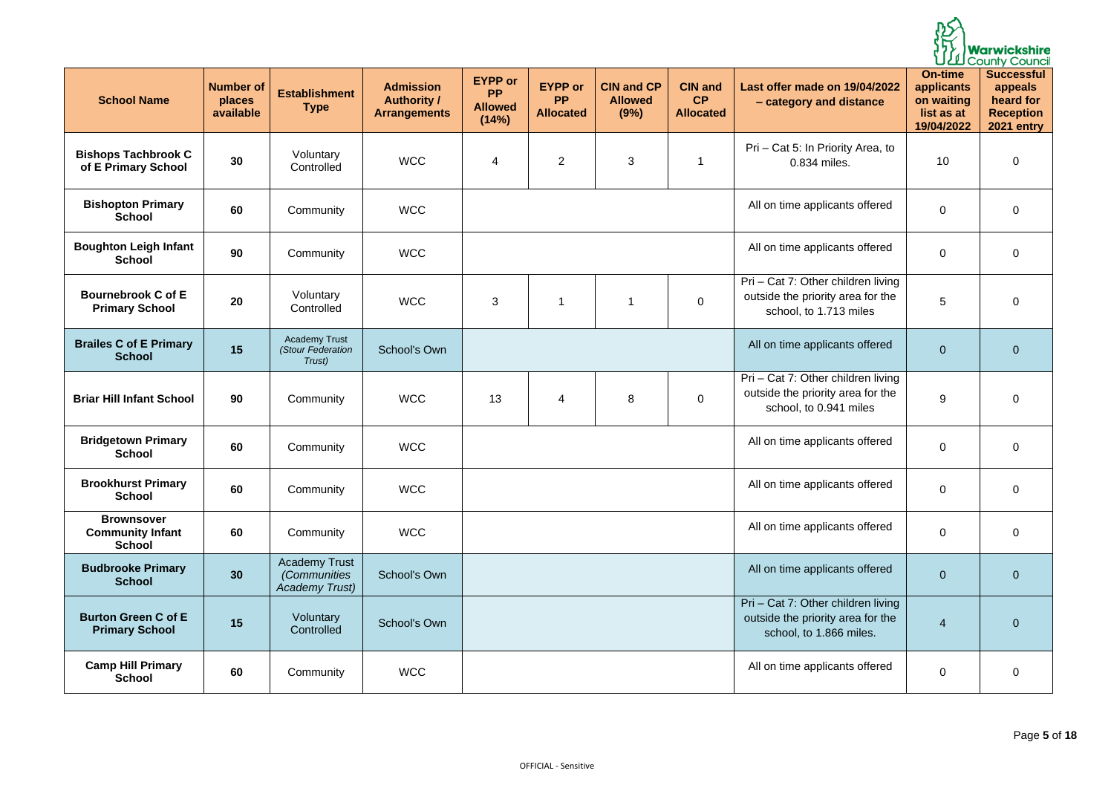|                                                               |                                         |                                                                      |                                                               |                                                        |                                                 |                                             |                                          |                                                                                                    |                                                                        | Warwickshire  <br>LLI County Council                                               |
|---------------------------------------------------------------|-----------------------------------------|----------------------------------------------------------------------|---------------------------------------------------------------|--------------------------------------------------------|-------------------------------------------------|---------------------------------------------|------------------------------------------|----------------------------------------------------------------------------------------------------|------------------------------------------------------------------------|------------------------------------------------------------------------------------|
| <b>School Name</b>                                            | <b>Number of</b><br>places<br>available | <b>Establishment</b><br><b>Type</b>                                  | <b>Admission</b><br><b>Authority /</b><br><b>Arrangements</b> | <b>EYPP or</b><br><b>PP</b><br><b>Allowed</b><br>(14%) | <b>EYPP</b> or<br><b>PP</b><br><b>Allocated</b> | <b>CIN and CP</b><br><b>Allowed</b><br>(9%) | <b>CIN and</b><br>CP<br><b>Allocated</b> | Last offer made on 19/04/2022<br>- category and distance                                           | <b>On-time</b><br>applicants<br>on waiting<br>list as at<br>19/04/2022 | <b>Successful</b><br>appeals<br>heard for<br><b>Reception</b><br><b>2021 entry</b> |
| <b>Bishops Tachbrook C</b><br>of E Primary School             | 30                                      | Voluntary<br>Controlled                                              | <b>WCC</b>                                                    | 4                                                      | $\overline{2}$                                  | 3                                           |                                          | Pri - Cat 5: In Priority Area, to<br>0.834 miles.                                                  | 10                                                                     | $\mathbf 0$                                                                        |
| <b>Bishopton Primary</b><br><b>School</b>                     | 60                                      | Community                                                            | <b>WCC</b>                                                    |                                                        |                                                 |                                             |                                          | All on time applicants offered                                                                     | $\overline{0}$                                                         | $\mathbf 0$                                                                        |
| <b>Boughton Leigh Infant</b><br><b>School</b>                 | 90                                      | Community                                                            | <b>WCC</b>                                                    |                                                        |                                                 |                                             |                                          | All on time applicants offered                                                                     | $\overline{0}$                                                         | $\mathbf 0$                                                                        |
| <b>Bournebrook C of E</b><br><b>Primary School</b>            | 20                                      | Voluntary<br>Controlled                                              | <b>WCC</b>                                                    | 3                                                      | $\mathbf 1$                                     |                                             | $\overline{0}$                           | Pri - Cat 7: Other children living<br>outside the priority area for the<br>school, to 1.713 miles  | $\overline{5}$                                                         | $\mathbf 0$                                                                        |
| <b>Brailes C of E Primary</b><br><b>School</b>                | 15                                      | <b>Academy Trust</b><br>(Stour Federation<br>Trust)                  | School's Own                                                  |                                                        |                                                 |                                             |                                          | All on time applicants offered                                                                     | $\overline{0}$                                                         | $\overline{0}$                                                                     |
| <b>Briar Hill Infant School</b>                               | 90                                      | Community                                                            | <b>WCC</b>                                                    | 13                                                     | $\overline{4}$                                  | 8                                           | $\overline{0}$                           | Pri - Cat 7: Other children living<br>outside the priority area for the<br>school, to 0.941 miles  | $9\,$                                                                  | $\mathbf 0$                                                                        |
| <b>Bridgetown Primary</b><br><b>School</b>                    | 60                                      | Community                                                            | <b>WCC</b>                                                    |                                                        |                                                 |                                             |                                          | All on time applicants offered                                                                     | $\overline{0}$                                                         | $\mathbf 0$                                                                        |
| <b>Brookhurst Primary</b><br><b>School</b>                    | 60                                      | Community                                                            | <b>WCC</b>                                                    |                                                        |                                                 |                                             |                                          | All on time applicants offered                                                                     | $\mathbf 0$                                                            | $\overline{0}$                                                                     |
| <b>Brownsover</b><br><b>Community Infant</b><br><b>School</b> | 60                                      | Community                                                            | <b>WCC</b>                                                    |                                                        |                                                 |                                             |                                          | All on time applicants offered                                                                     | $\mathbf 0$                                                            | $\mathbf 0$                                                                        |
| <b>Budbrooke Primary</b><br><b>School</b>                     | 30                                      | <b>Academy Trust</b><br><i>(Communities</i><br><b>Academy Trust)</b> | <b>School's Own</b>                                           |                                                        |                                                 |                                             |                                          | All on time applicants offered                                                                     | $\overline{0}$                                                         | $\overline{0}$                                                                     |
| <b>Burton Green C of E</b><br><b>Primary School</b>           | 15                                      | Voluntary<br>Controlled                                              | School's Own                                                  |                                                        |                                                 |                                             |                                          | Pri - Cat 7: Other children living<br>outside the priority area for the<br>school, to 1.866 miles. | $\overline{4}$                                                         | $\overline{0}$                                                                     |
| <b>Camp Hill Primary</b><br><b>School</b>                     | 60                                      | Community                                                            | <b>WCC</b>                                                    |                                                        |                                                 |                                             |                                          | All on time applicants offered                                                                     | $\mathbf 0$                                                            | $\mathbf 0$                                                                        |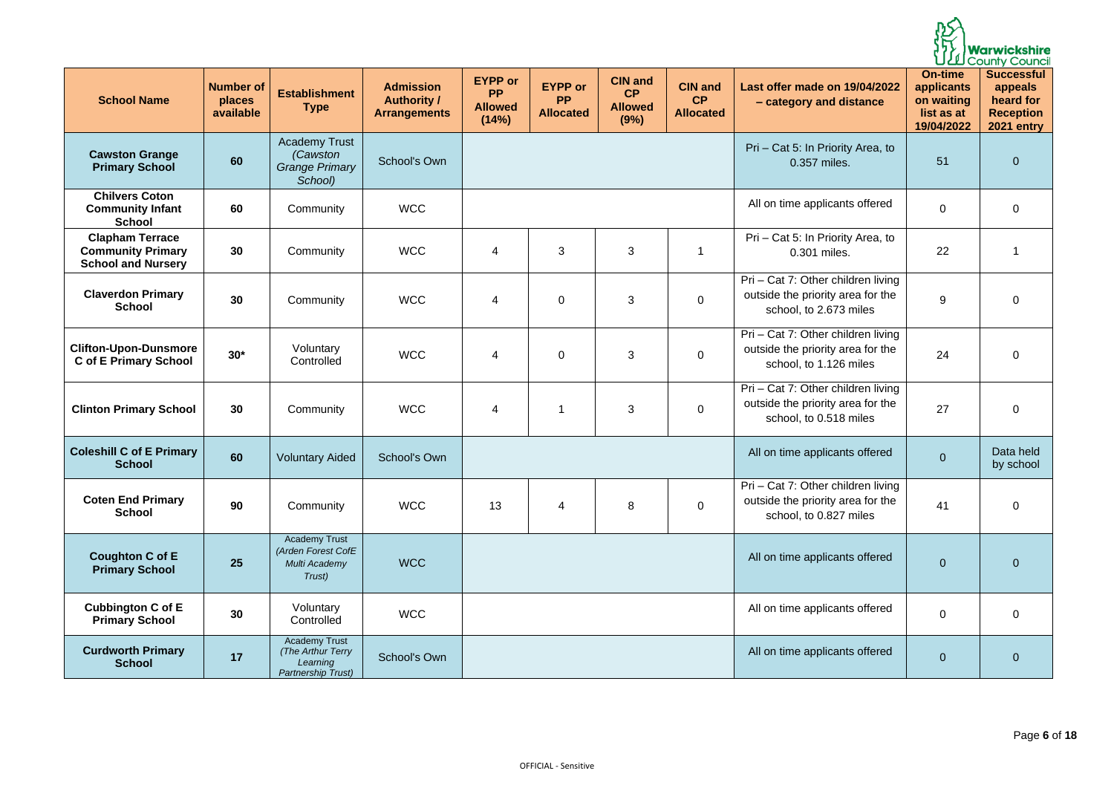|                                                                                 |                                         |                                                                                    |                                                               |                                                        |                                                 |                                                       |                                          |                                                                                                   |                                                                        | <b>Warwickshire</b><br>UU County Council                                           |
|---------------------------------------------------------------------------------|-----------------------------------------|------------------------------------------------------------------------------------|---------------------------------------------------------------|--------------------------------------------------------|-------------------------------------------------|-------------------------------------------------------|------------------------------------------|---------------------------------------------------------------------------------------------------|------------------------------------------------------------------------|------------------------------------------------------------------------------------|
| <b>School Name</b>                                                              | <b>Number of</b><br>places<br>available | <b>Establishment</b><br><b>Type</b>                                                | <b>Admission</b><br><b>Authority /</b><br><b>Arrangements</b> | <b>EYPP or</b><br><b>PP</b><br><b>Allowed</b><br>(14%) | <b>EYPP or</b><br><b>PP</b><br><b>Allocated</b> | <b>CIN and</b><br><b>CP</b><br><b>Allowed</b><br>(9%) | <b>CIN and</b><br>CP<br><b>Allocated</b> | Last offer made on 19/04/2022<br>- category and distance                                          | <b>On-time</b><br>applicants<br>on waiting<br>list as at<br>19/04/2022 | <b>Successful</b><br>appeals<br>heard for<br><b>Reception</b><br><b>2021 entry</b> |
| <b>Cawston Grange</b><br><b>Primary School</b>                                  | 60                                      | <b>Academy Trust</b><br>(Cawston<br><b>Grange Primary</b><br>School)               | School's Own                                                  |                                                        |                                                 |                                                       |                                          | Pri - Cat 5: In Priority Area, to<br>0.357 miles.                                                 | 51                                                                     | $\overline{0}$                                                                     |
| <b>Chilvers Coton</b><br><b>Community Infant</b><br><b>School</b>               | 60                                      | Community                                                                          | <b>WCC</b>                                                    |                                                        |                                                 |                                                       |                                          | All on time applicants offered                                                                    | $\overline{0}$                                                         | $\overline{0}$                                                                     |
| <b>Clapham Terrace</b><br><b>Community Primary</b><br><b>School and Nursery</b> | 30                                      | Community                                                                          | <b>WCC</b>                                                    | $\overline{4}$                                         | 3                                               | 3                                                     | -1                                       | Pri - Cat 5: In Priority Area, to<br>0.301 miles.                                                 | 22                                                                     |                                                                                    |
| <b>Claverdon Primary</b><br><b>School</b>                                       | 30                                      | Community                                                                          | <b>WCC</b>                                                    | $\overline{4}$                                         | $\overline{0}$                                  | 3                                                     | $\overline{0}$                           | Pri - Cat 7: Other children living<br>outside the priority area for the<br>school, to 2.673 miles | 9                                                                      | $\Omega$                                                                           |
| <b>Clifton-Upon-Dunsmore</b><br><b>C of E Primary School</b>                    | $30*$                                   | Voluntary<br>Controlled                                                            | <b>WCC</b>                                                    | $\overline{4}$                                         | $\overline{0}$                                  | 3                                                     | $\overline{0}$                           | Pri - Cat 7: Other children living<br>outside the priority area for the<br>school, to 1.126 miles | 24                                                                     | $\overline{0}$                                                                     |
| <b>Clinton Primary School</b>                                                   | 30                                      | Community                                                                          | <b>WCC</b>                                                    | $\overline{4}$                                         | 1                                               | 3                                                     | $\overline{0}$                           | Pri - Cat 7: Other children living<br>outside the priority area for the<br>school, to 0.518 miles | 27                                                                     | $\mathbf 0$                                                                        |
| <b>Coleshill C of E Primary</b><br><b>School</b>                                | 60                                      | <b>Voluntary Aided</b>                                                             | School's Own                                                  |                                                        |                                                 |                                                       |                                          | All on time applicants offered                                                                    | $\overline{0}$                                                         | Data held<br>by school                                                             |
| <b>Coten End Primary</b><br><b>School</b>                                       | 90                                      | Community                                                                          | <b>WCC</b>                                                    | 13                                                     | 4                                               | 8                                                     | $\mathbf 0$                              | Pri - Cat 7: Other children living<br>outside the priority area for the<br>school, to 0.827 miles | 41                                                                     | $\mathbf 0$                                                                        |
| <b>Coughton C of E</b><br><b>Primary School</b>                                 | 25                                      | <b>Academy Trust</b><br>(Arden Forest CofE<br>Multi Academy<br>Trust)              | <b>WCC</b>                                                    |                                                        |                                                 |                                                       |                                          | All on time applicants offered                                                                    | $\overline{0}$                                                         | $\overline{0}$                                                                     |
| <b>Cubbington C of E</b><br><b>Primary School</b>                               | 30                                      | Voluntary<br>Controlled                                                            | <b>WCC</b>                                                    |                                                        |                                                 |                                                       |                                          | All on time applicants offered                                                                    | $\mathbf 0$                                                            | $\mathbf 0$                                                                        |
| <b>Curdworth Primary</b><br><b>School</b>                                       | 17                                      | <b>Academy Trust</b><br>(The Arthur Terry<br>Learning<br><b>Partnership Trust)</b> | School's Own                                                  |                                                        |                                                 |                                                       |                                          | All on time applicants offered                                                                    | $\overline{0}$                                                         | $\overline{0}$                                                                     |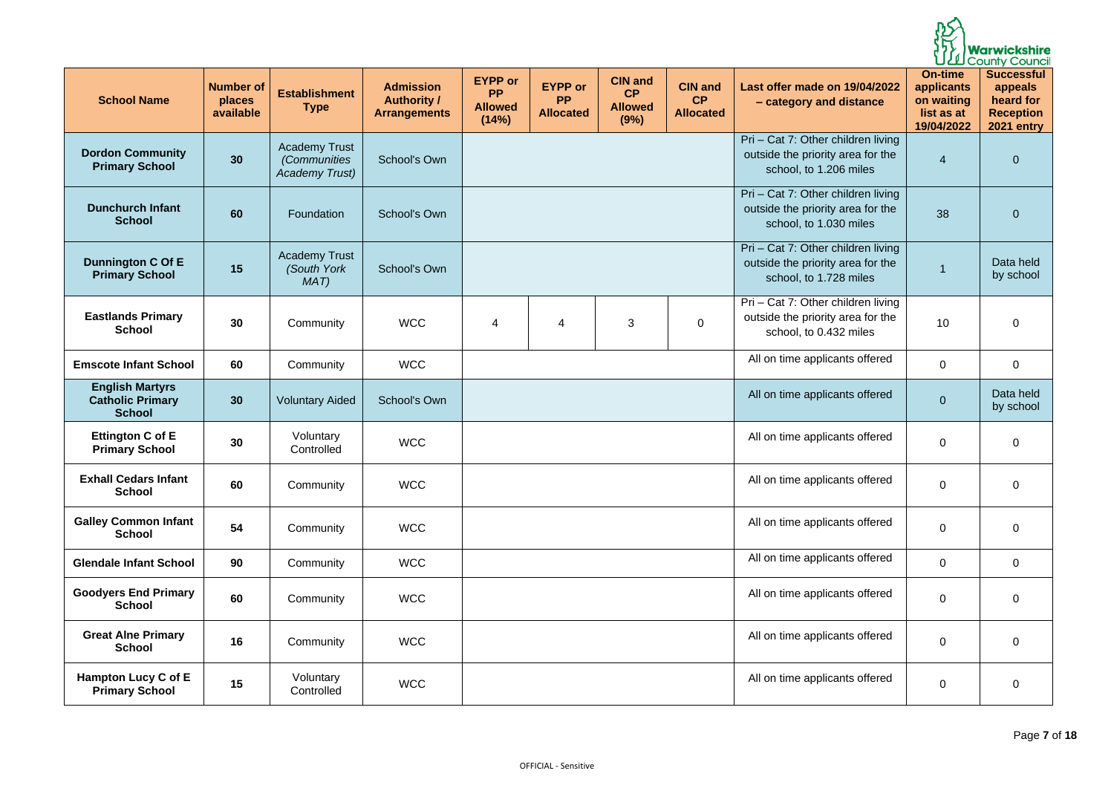|                                                                    |                                         |                                                                      |                                                               |                                                        |                                                 |                                                       |                                          |                                                                                                   |                                                                        | <b>Warwickshire</b><br>LLI County Council                                          |
|--------------------------------------------------------------------|-----------------------------------------|----------------------------------------------------------------------|---------------------------------------------------------------|--------------------------------------------------------|-------------------------------------------------|-------------------------------------------------------|------------------------------------------|---------------------------------------------------------------------------------------------------|------------------------------------------------------------------------|------------------------------------------------------------------------------------|
| <b>School Name</b>                                                 | <b>Number of</b><br>places<br>available | <b>Establishment</b><br><b>Type</b>                                  | <b>Admission</b><br><b>Authority /</b><br><b>Arrangements</b> | <b>EYPP or</b><br><b>PP</b><br><b>Allowed</b><br>(14%) | <b>EYPP or</b><br><b>PP</b><br><b>Allocated</b> | <b>CIN and</b><br><b>CP</b><br><b>Allowed</b><br>(9%) | <b>CIN and</b><br>CP<br><b>Allocated</b> | Last offer made on 19/04/2022<br>- category and distance                                          | <b>On-time</b><br>applicants<br>on waiting<br>list as at<br>19/04/2022 | <b>Successful</b><br>appeals<br>heard for<br><b>Reception</b><br><b>2021 entry</b> |
| <b>Dordon Community</b><br><b>Primary School</b>                   | 30                                      | <b>Academy Trust</b><br><i>(Communities</i><br><b>Academy Trust)</b> | School's Own                                                  |                                                        |                                                 |                                                       |                                          | Pri - Cat 7: Other children living<br>outside the priority area for the<br>school, to 1.206 miles | $\overline{4}$                                                         | $\overline{0}$                                                                     |
| <b>Dunchurch Infant</b><br><b>School</b>                           | 60                                      | Foundation                                                           | School's Own                                                  |                                                        |                                                 |                                                       |                                          | Pri - Cat 7: Other children living<br>outside the priority area for the<br>school, to 1.030 miles | 38                                                                     | $\overline{0}$                                                                     |
| <b>Dunnington C Of E</b><br><b>Primary School</b>                  | 15                                      | <b>Academy Trust</b><br>(South York<br>MAT)                          | School's Own                                                  |                                                        |                                                 |                                                       |                                          | Pri - Cat 7: Other children living<br>outside the priority area for the<br>school, to 1.728 miles |                                                                        | Data held<br>by school                                                             |
| <b>Eastlands Primary</b><br><b>School</b>                          | 30                                      | Community                                                            | <b>WCC</b>                                                    | 4                                                      | $\overline{4}$                                  | 3                                                     | $\mathbf 0$                              | Pri - Cat 7: Other children living<br>outside the priority area for the<br>school, to 0.432 miles | 10                                                                     | $\overline{0}$                                                                     |
| <b>Emscote Infant School</b>                                       | 60                                      | Community                                                            | <b>WCC</b>                                                    |                                                        |                                                 |                                                       |                                          | All on time applicants offered                                                                    | $\mathbf 0$                                                            | $\mathbf 0$                                                                        |
| <b>English Martyrs</b><br><b>Catholic Primary</b><br><b>School</b> | 30                                      | <b>Voluntary Aided</b>                                               | School's Own                                                  |                                                        |                                                 |                                                       |                                          | All on time applicants offered                                                                    | $\overline{0}$                                                         | Data held<br>by school                                                             |
| <b>Ettington C of E</b><br><b>Primary School</b>                   | 30                                      | Voluntary<br>Controlled                                              | <b>WCC</b>                                                    |                                                        |                                                 |                                                       |                                          | All on time applicants offered                                                                    | $\mathbf 0$                                                            | $\mathbf 0$                                                                        |
| <b>Exhall Cedars Infant</b><br><b>School</b>                       | 60                                      | Community                                                            | <b>WCC</b>                                                    |                                                        |                                                 |                                                       |                                          | All on time applicants offered                                                                    | $\mathbf 0$                                                            | $\mathbf 0$                                                                        |
| <b>Galley Common Infant</b><br><b>School</b>                       | 54                                      | Community                                                            | <b>WCC</b>                                                    |                                                        |                                                 |                                                       |                                          | All on time applicants offered                                                                    | $\mathbf 0$                                                            | $\mathbf 0$                                                                        |
| <b>Glendale Infant School</b>                                      | 90                                      | Community                                                            | <b>WCC</b>                                                    |                                                        |                                                 |                                                       |                                          | All on time applicants offered                                                                    | $\overline{0}$                                                         | $\overline{0}$                                                                     |
| <b>Goodyers End Primary</b><br><b>School</b>                       | 60                                      | Community                                                            | <b>WCC</b>                                                    |                                                        |                                                 |                                                       |                                          | All on time applicants offered                                                                    | $\mathbf 0$                                                            | $\overline{0}$                                                                     |
| <b>Great Alne Primary</b><br><b>School</b>                         | 16                                      | Community                                                            | <b>WCC</b>                                                    |                                                        |                                                 |                                                       |                                          | All on time applicants offered                                                                    | $\mathbf 0$                                                            | $\overline{0}$                                                                     |
| <b>Hampton Lucy C of E</b><br><b>Primary School</b>                | 15                                      | Voluntary<br>Controlled                                              | <b>WCC</b>                                                    |                                                        |                                                 |                                                       |                                          | All on time applicants offered                                                                    | $\mathbf 0$                                                            | $\overline{0}$                                                                     |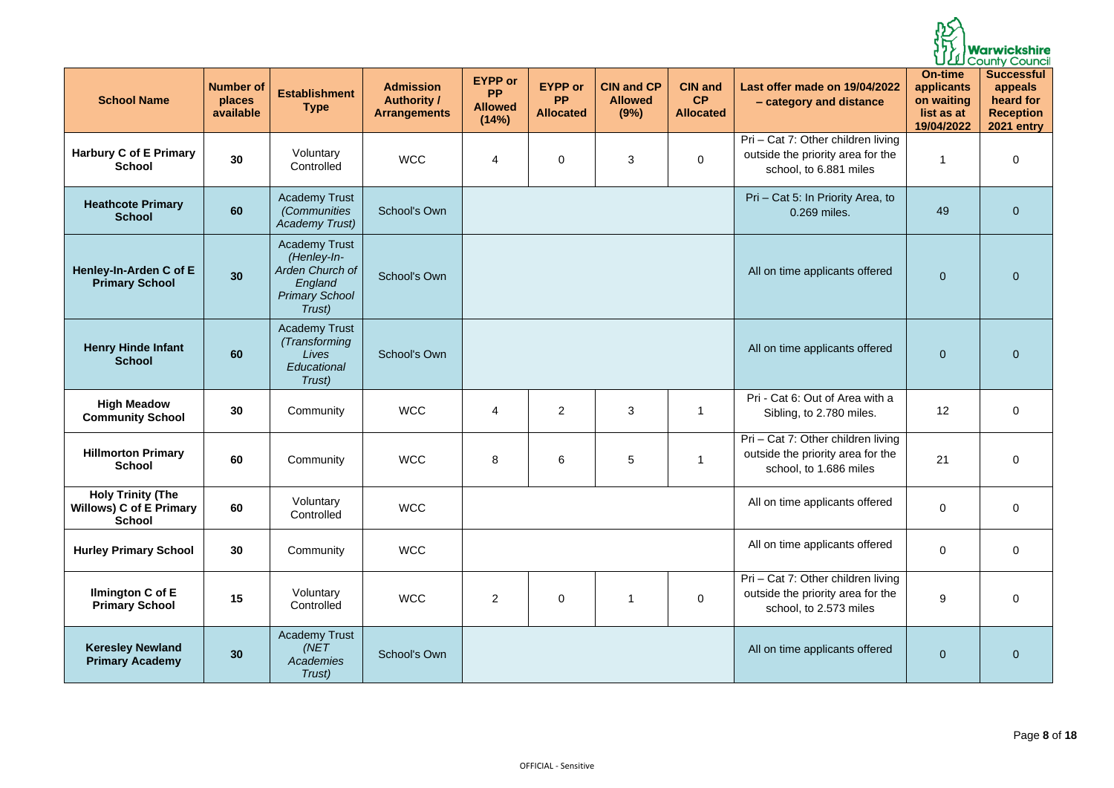Page **8** of **18**

|                                                                             |                                         |                                                                                                      |                                                               |                                                        |                                                 |                                             |                                          |                                                                                                   |                                                                        | <b>Warwickshire</b><br>County Council                                              |
|-----------------------------------------------------------------------------|-----------------------------------------|------------------------------------------------------------------------------------------------------|---------------------------------------------------------------|--------------------------------------------------------|-------------------------------------------------|---------------------------------------------|------------------------------------------|---------------------------------------------------------------------------------------------------|------------------------------------------------------------------------|------------------------------------------------------------------------------------|
| <b>School Name</b>                                                          | <b>Number of</b><br>places<br>available | <b>Establishment</b><br><b>Type</b>                                                                  | <b>Admission</b><br><b>Authority /</b><br><b>Arrangements</b> | <b>EYPP or</b><br><b>PP</b><br><b>Allowed</b><br>(14%) | <b>EYPP or</b><br><b>PP</b><br><b>Allocated</b> | <b>CIN and CP</b><br><b>Allowed</b><br>(9%) | <b>CIN and</b><br>CP<br><b>Allocated</b> | Last offer made on 19/04/2022<br>- category and distance                                          | <b>On-time</b><br>applicants<br>on waiting<br>list as at<br>19/04/2022 | <b>Successful</b><br>appeals<br>heard for<br><b>Reception</b><br><b>2021 entry</b> |
| <b>Harbury C of E Primary</b><br><b>School</b>                              | 30                                      | Voluntary<br>Controlled                                                                              | <b>WCC</b>                                                    | 4                                                      | $\mathbf 0$                                     | 3                                           | $\mathbf 0$                              | Pri - Cat 7: Other children living<br>outside the priority area for the<br>school, to 6.881 miles |                                                                        | $\overline{0}$                                                                     |
| <b>Heathcote Primary</b><br><b>School</b>                                   | 60                                      | <b>Academy Trust</b><br><i>(Communities</i><br><b>Academy Trust)</b>                                 | School's Own                                                  |                                                        |                                                 |                                             |                                          | Pri - Cat 5: In Priority Area, to<br>0.269 miles.                                                 | 49                                                                     | $\overline{0}$                                                                     |
| Henley-In-Arden C of E<br><b>Primary School</b>                             | 30 <sup>°</sup>                         | <b>Academy Trust</b><br>(Henley-In-<br>Arden Church of<br>England<br><b>Primary School</b><br>Trust) | School's Own                                                  |                                                        |                                                 |                                             |                                          | All on time applicants offered                                                                    | $\overline{0}$                                                         | $\overline{0}$                                                                     |
| <b>Henry Hinde Infant</b><br><b>School</b>                                  | 60                                      | <b>Academy Trust</b><br>(Transforming<br>Lives<br>Educational<br>Trust)                              | School's Own                                                  |                                                        |                                                 |                                             |                                          | All on time applicants offered                                                                    | $\overline{0}$                                                         | $\overline{0}$                                                                     |
| <b>High Meadow</b><br><b>Community School</b>                               | 30                                      | Community                                                                                            | <b>WCC</b>                                                    | 4                                                      | $\overline{2}$                                  | $\mathbf{3}$                                | $\mathbf{1}$                             | Pri - Cat 6: Out of Area with a<br>Sibling, to 2.780 miles.                                       | 12                                                                     | $\mathbf 0$                                                                        |
| <b>Hillmorton Primary</b><br><b>School</b>                                  | 60                                      | Community                                                                                            | <b>WCC</b>                                                    | 8                                                      | $\,6\,$                                         | $5\phantom{.0}$                             | $\mathbf{1}$                             | Pri - Cat 7: Other children living<br>outside the priority area for the<br>school, to 1.686 miles | 21                                                                     | $\mathbf 0$                                                                        |
| <b>Holy Trinity (The</b><br><b>Willows) C of E Primary</b><br><b>School</b> | 60                                      | Voluntary<br>Controlled                                                                              | <b>WCC</b>                                                    |                                                        |                                                 |                                             |                                          | All on time applicants offered                                                                    | $\mathbf 0$                                                            | $\mathbf 0$                                                                        |
| <b>Hurley Primary School</b>                                                | 30                                      | Community                                                                                            | <b>WCC</b>                                                    |                                                        |                                                 |                                             |                                          | All on time applicants offered                                                                    | $\mathbf 0$                                                            | $\mathbf 0$                                                                        |
| <b>Ilmington C of E</b><br><b>Primary School</b>                            | 15                                      | Voluntary<br>Controlled                                                                              | <b>WCC</b>                                                    | $\overline{2}$                                         | $\pmb{0}$                                       |                                             | $\boldsymbol{0}$                         | Pri - Cat 7: Other children living<br>outside the priority area for the<br>school, to 2.573 miles | $9\,$                                                                  | $\mathbf 0$                                                                        |
| <b>Keresley Newland</b><br><b>Primary Academy</b>                           | 30                                      | <b>Academy Trust</b><br>(NET)<br>Academies<br>Trust)                                                 | School's Own                                                  |                                                        |                                                 |                                             |                                          | All on time applicants offered                                                                    | $\overline{0}$                                                         | $\overline{0}$                                                                     |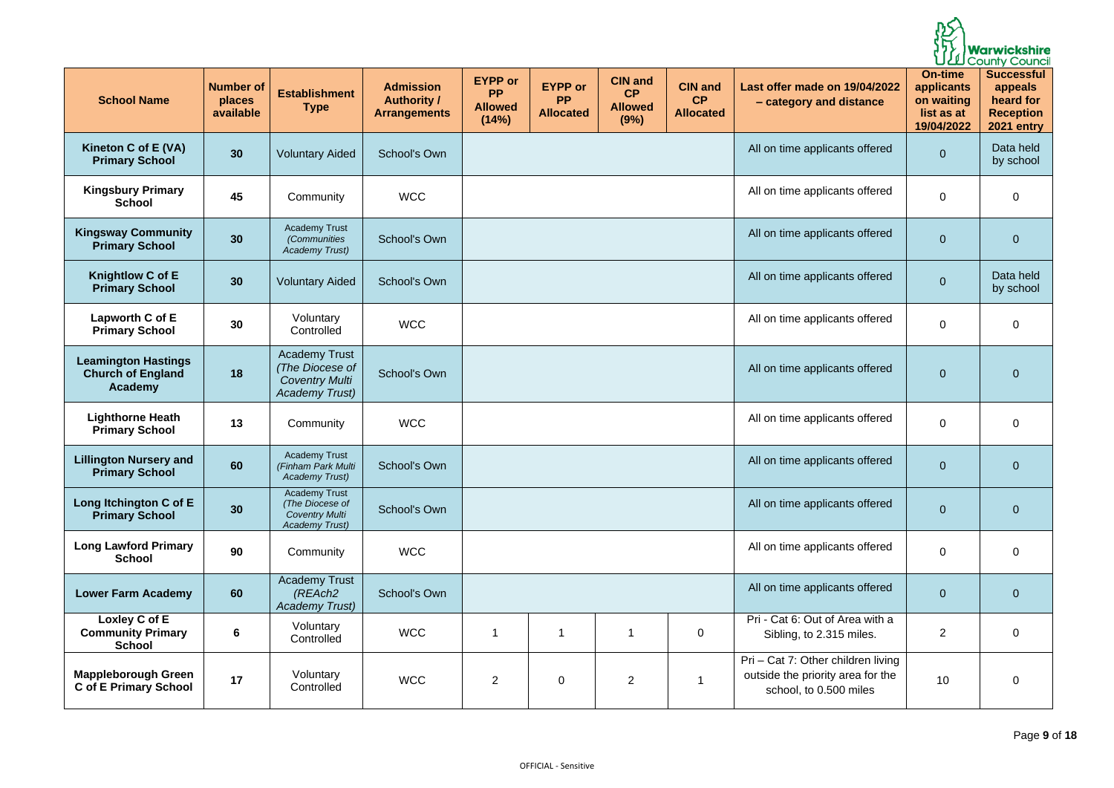Page **9** of **18**

|                                                                   |                                         |                                                                                           |                                                               |                                                        |                                                 |                                                |                                          |                                                                                                   |                                                                        | <b>Warwickshire</b><br>County Council                                              |
|-------------------------------------------------------------------|-----------------------------------------|-------------------------------------------------------------------------------------------|---------------------------------------------------------------|--------------------------------------------------------|-------------------------------------------------|------------------------------------------------|------------------------------------------|---------------------------------------------------------------------------------------------------|------------------------------------------------------------------------|------------------------------------------------------------------------------------|
| <b>School Name</b>                                                | <b>Number of</b><br>places<br>available | <b>Establishment</b><br><b>Type</b>                                                       | <b>Admission</b><br><b>Authority /</b><br><b>Arrangements</b> | <b>EYPP or</b><br><b>PP</b><br><b>Allowed</b><br>(14%) | <b>EYPP or</b><br><b>PP</b><br><b>Allocated</b> | <b>CIN and</b><br>CP<br><b>Allowed</b><br>(9%) | <b>CIN and</b><br>CP<br><b>Allocated</b> | Last offer made on 19/04/2022<br>- category and distance                                          | <b>On-time</b><br>applicants<br>on waiting<br>list as at<br>19/04/2022 | <b>Successful</b><br>appeals<br>heard for<br><b>Reception</b><br><b>2021 entry</b> |
| Kineton C of E (VA)<br><b>Primary School</b>                      | 30                                      | <b>Voluntary Aided</b>                                                                    | <b>School's Own</b>                                           |                                                        |                                                 |                                                |                                          | All on time applicants offered                                                                    | $\overline{0}$                                                         | Data held<br>by school                                                             |
| <b>Kingsbury Primary</b><br><b>School</b>                         | 45                                      | Community                                                                                 | <b>WCC</b>                                                    |                                                        |                                                 |                                                |                                          | All on time applicants offered                                                                    | $\mathbf 0$                                                            | $\overline{0}$                                                                     |
| <b>Kingsway Community</b><br><b>Primary School</b>                | 30                                      | <b>Academy Trust</b><br><i>(Communities</i><br><b>Academy Trust)</b>                      | <b>School's Own</b>                                           |                                                        |                                                 |                                                |                                          | All on time applicants offered                                                                    | $\overline{0}$                                                         | $\overline{0}$                                                                     |
| <b>Knightlow C of E</b><br><b>Primary School</b>                  | 30                                      | <b>Voluntary Aided</b>                                                                    | <b>School's Own</b>                                           |                                                        |                                                 |                                                |                                          | All on time applicants offered                                                                    | $\mathbf 0$                                                            | Data held<br>by school                                                             |
| Lapworth C of E<br><b>Primary School</b>                          | 30                                      | Voluntary<br>Controlled                                                                   | <b>WCC</b>                                                    |                                                        |                                                 |                                                |                                          | All on time applicants offered                                                                    | $\overline{0}$                                                         | $\mathbf 0$                                                                        |
| <b>Leamington Hastings</b><br><b>Church of England</b><br>Academy | 18                                      | <b>Academy Trust</b><br>(The Diocese of<br><b>Coventry Multi</b><br><b>Academy Trust)</b> | <b>School's Own</b>                                           |                                                        |                                                 |                                                |                                          | All on time applicants offered                                                                    | $\overline{0}$                                                         | $\overline{0}$                                                                     |
| <b>Lighthorne Heath</b><br><b>Primary School</b>                  | 13                                      | Community                                                                                 | <b>WCC</b>                                                    |                                                        |                                                 |                                                |                                          | All on time applicants offered                                                                    | $\overline{0}$                                                         | 0                                                                                  |
| <b>Lillington Nursery and</b><br><b>Primary School</b>            | 60                                      | <b>Academy Trust</b><br>(Finham Park Multi<br><b>Academy Trust)</b>                       | School's Own                                                  |                                                        |                                                 |                                                |                                          | All on time applicants offered                                                                    | $\overline{0}$                                                         | $\overline{0}$                                                                     |
| Long Itchington C of E<br><b>Primary School</b>                   | 30                                      | <b>Academy Trust</b><br>(The Diocese of<br><b>Coventry Multi</b><br><b>Academy Trust)</b> | School's Own                                                  |                                                        |                                                 |                                                |                                          | All on time applicants offered                                                                    | $\overline{0}$                                                         | $\overline{0}$                                                                     |
| <b>Long Lawford Primary</b><br><b>School</b>                      | 90                                      | Community                                                                                 | <b>WCC</b>                                                    |                                                        |                                                 |                                                |                                          | All on time applicants offered                                                                    | $\mathbf 0$                                                            | $\overline{0}$                                                                     |
| <b>Lower Farm Academy</b>                                         | 60                                      | <b>Academy Trust</b><br>(REAch2)<br><b>Academy Trust)</b>                                 | School's Own                                                  |                                                        |                                                 |                                                |                                          | All on time applicants offered                                                                    | $\overline{0}$                                                         | $\overline{0}$                                                                     |
| Loxley C of E<br><b>Community Primary</b><br><b>School</b>        | 6                                       | Voluntary<br>Controlled                                                                   | <b>WCC</b>                                                    | 1                                                      | $\mathbf 1$                                     |                                                | $\mathbf 0$                              | Pri - Cat 6: Out of Area with a<br>Sibling, to 2.315 miles.                                       | $\overline{2}$                                                         | $\mathbf 0$                                                                        |
| <b>Mappleborough Green</b><br><b>C of E Primary School</b>        | 17                                      | Voluntary<br>Controlled                                                                   | <b>WCC</b>                                                    | $\overline{2}$                                         | $\mathbf 0$                                     | $\overline{2}$                                 | -1                                       | Pri - Cat 7: Other children living<br>outside the priority area for the<br>school, to 0.500 miles | 10                                                                     | $\overline{0}$                                                                     |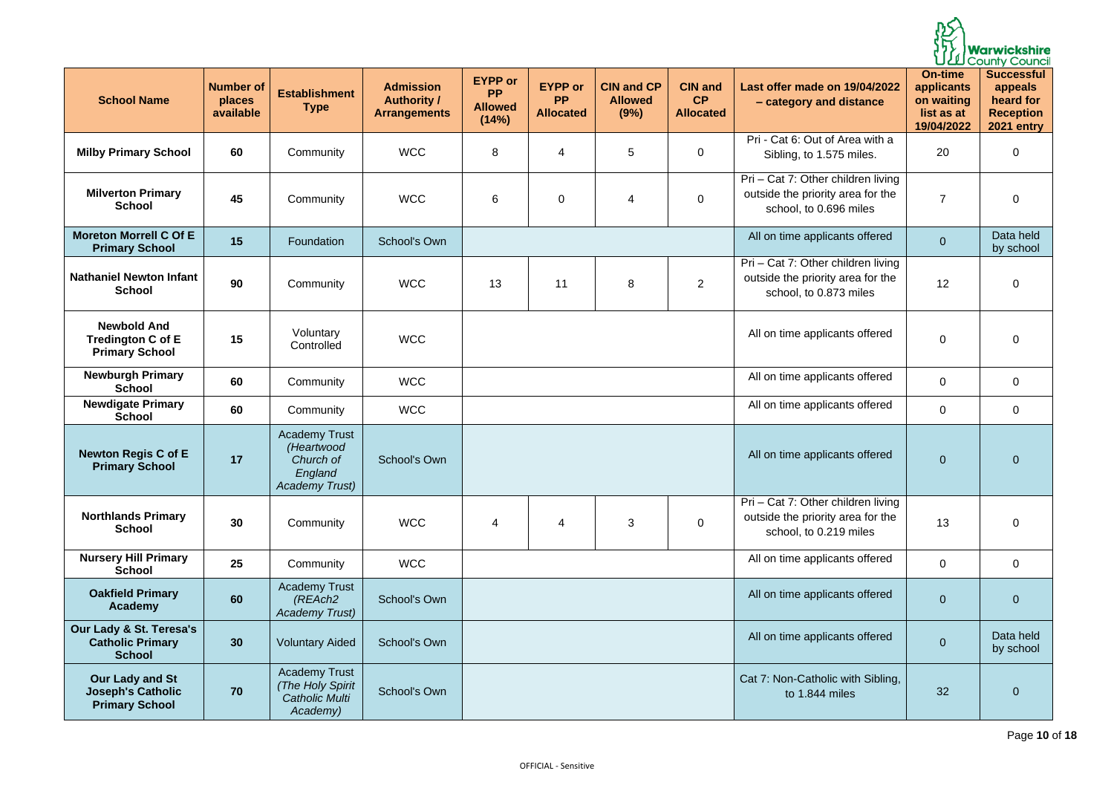Page **10** of **18**

|                                                                             |                                         |                                                                                     |                                                               |                                                        |                                                 |                                             |                                          |                                                                                                   |                                                                        | Warwickshire<br><b>LLI</b> County Council                                          |
|-----------------------------------------------------------------------------|-----------------------------------------|-------------------------------------------------------------------------------------|---------------------------------------------------------------|--------------------------------------------------------|-------------------------------------------------|---------------------------------------------|------------------------------------------|---------------------------------------------------------------------------------------------------|------------------------------------------------------------------------|------------------------------------------------------------------------------------|
| <b>School Name</b>                                                          | <b>Number of</b><br>places<br>available | <b>Establishment</b><br><b>Type</b>                                                 | <b>Admission</b><br><b>Authority /</b><br><b>Arrangements</b> | <b>EYPP or</b><br><b>PP</b><br><b>Allowed</b><br>(14%) | <b>EYPP or</b><br><b>PP</b><br><b>Allocated</b> | <b>CIN and CP</b><br><b>Allowed</b><br>(9%) | <b>CIN and</b><br>CP<br><b>Allocated</b> | Last offer made on 19/04/2022<br>- category and distance                                          | <b>On-time</b><br>applicants<br>on waiting<br>list as at<br>19/04/2022 | <b>Successful</b><br>appeals<br>heard for<br><b>Reception</b><br><b>2021 entry</b> |
| <b>Milby Primary School</b>                                                 | 60                                      | Community                                                                           | <b>WCC</b>                                                    | 8                                                      | $\overline{4}$                                  | 5                                           | $\mathbf 0$                              | Pri - Cat 6: Out of Area with a<br>Sibling, to 1.575 miles.                                       | 20                                                                     | $\mathbf 0$                                                                        |
| <b>Milverton Primary</b><br><b>School</b>                                   | 45                                      | Community                                                                           | <b>WCC</b>                                                    | 6                                                      | $\overline{0}$                                  | $\overline{4}$                              | $\mathbf 0$                              | Pri - Cat 7: Other children living<br>outside the priority area for the<br>school, to 0.696 miles | $\overline{7}$                                                         | $\mathbf 0$                                                                        |
| <b>Moreton Morrell C Of E</b><br><b>Primary School</b>                      | 15                                      | Foundation                                                                          | <b>School's Own</b>                                           |                                                        |                                                 |                                             |                                          | All on time applicants offered                                                                    | $\overline{0}$                                                         | Data held<br>by school                                                             |
| <b>Nathaniel Newton Infant</b><br><b>School</b>                             | 90                                      | Community                                                                           | <b>WCC</b>                                                    | 13                                                     | 11                                              | 8                                           | $\overline{2}$                           | Pri - Cat 7: Other children living<br>outside the priority area for the<br>school, to 0.873 miles | 12                                                                     | $\overline{0}$                                                                     |
| <b>Newbold And</b><br><b>Tredington C of E</b><br><b>Primary School</b>     | 15                                      | Voluntary<br>Controlled                                                             | <b>WCC</b>                                                    |                                                        |                                                 |                                             |                                          | All on time applicants offered                                                                    | $\mathbf 0$                                                            | $\overline{0}$                                                                     |
| <b>Newburgh Primary</b><br><b>School</b>                                    | 60                                      | Community                                                                           | <b>WCC</b>                                                    |                                                        |                                                 |                                             |                                          | All on time applicants offered                                                                    | $\mathbf 0$                                                            | $\mathbf 0$                                                                        |
| <b>Newdigate Primary</b><br><b>School</b>                                   | 60                                      | Community                                                                           | <b>WCC</b>                                                    |                                                        |                                                 |                                             |                                          | All on time applicants offered                                                                    | $\mathbf 0$                                                            | $\overline{0}$                                                                     |
| <b>Newton Regis C of E</b><br><b>Primary School</b>                         | 17                                      | <b>Academy Trust</b><br>(Heartwood<br>Church of<br>England<br><b>Academy Trust)</b> | School's Own                                                  |                                                        |                                                 |                                             |                                          | All on time applicants offered                                                                    | $\overline{0}$                                                         | $\overline{0}$                                                                     |
| <b>Northlands Primary</b><br><b>School</b>                                  | 30                                      | Community                                                                           | <b>WCC</b>                                                    | 4                                                      | $\overline{4}$                                  | 3                                           | $\mathbf 0$                              | Pri - Cat 7: Other children living<br>outside the priority area for the<br>school, to 0.219 miles | 13                                                                     | $\overline{0}$                                                                     |
| <b>Nursery Hill Primary</b><br><b>School</b>                                | 25                                      | Community                                                                           | <b>WCC</b>                                                    |                                                        |                                                 |                                             |                                          | All on time applicants offered                                                                    | $\mathbf 0$                                                            | $\overline{0}$                                                                     |
| <b>Oakfield Primary</b><br>Academy                                          | 60                                      | <b>Academy Trust</b><br>(REAch2<br><b>Academy Trust)</b>                            | School's Own                                                  |                                                        |                                                 |                                             |                                          | All on time applicants offered                                                                    | $\overline{0}$                                                         | $\overline{0}$                                                                     |
| Our Lady & St. Teresa's<br><b>Catholic Primary</b><br><b>School</b>         | 30                                      | <b>Voluntary Aided</b>                                                              | School's Own                                                  |                                                        |                                                 |                                             |                                          | All on time applicants offered                                                                    | $\overline{0}$                                                         | Data held<br>by school                                                             |
| <b>Our Lady and St</b><br><b>Joseph's Catholic</b><br><b>Primary School</b> | 70                                      | <b>Academy Trust</b><br>(The Holy Spirit<br><b>Catholic Multi</b><br>Academy)       | School's Own                                                  |                                                        |                                                 |                                             |                                          | Cat 7: Non-Catholic with Sibling,<br>to 1.844 miles                                               | 32                                                                     | $\overline{0}$                                                                     |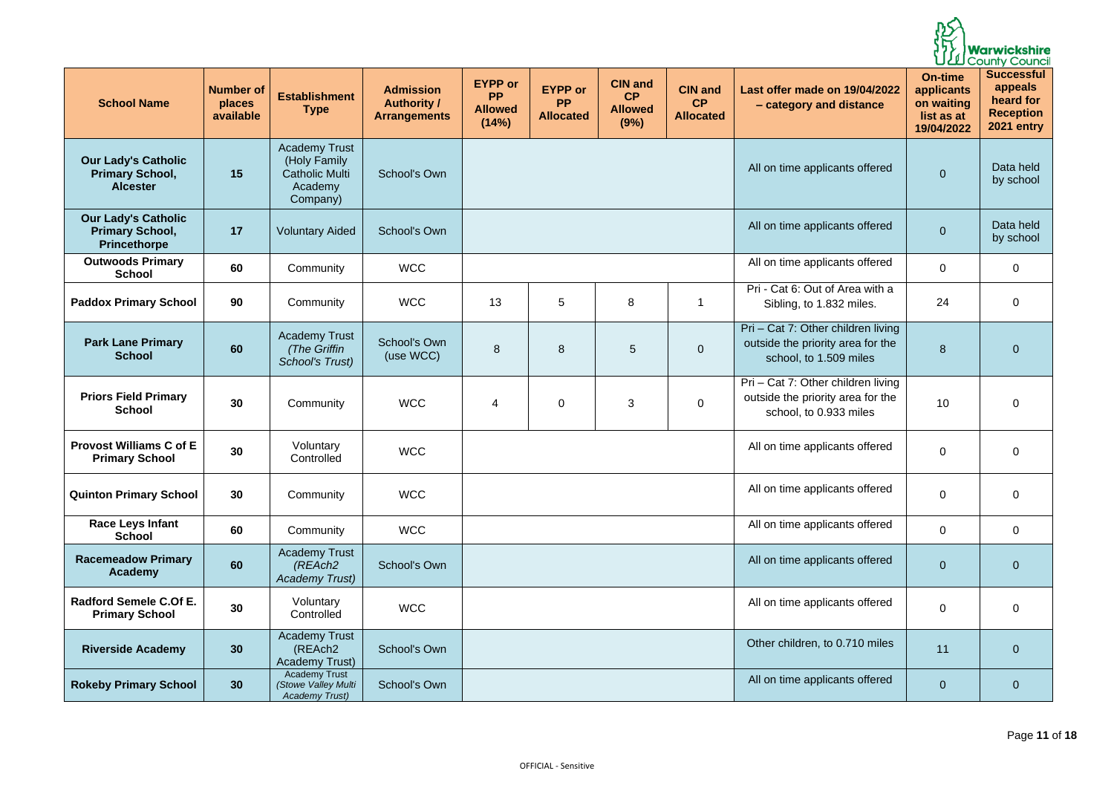Page **11** of **18**

|                                                                             |                                         |                                                                                      |                                                               |                                                        |                                                 |                                                |                                          |                                                                                                   |                                                                        | <b>Warwickshire</b><br>UU County Council                                           |
|-----------------------------------------------------------------------------|-----------------------------------------|--------------------------------------------------------------------------------------|---------------------------------------------------------------|--------------------------------------------------------|-------------------------------------------------|------------------------------------------------|------------------------------------------|---------------------------------------------------------------------------------------------------|------------------------------------------------------------------------|------------------------------------------------------------------------------------|
| <b>School Name</b>                                                          | <b>Number of</b><br>places<br>available | <b>Establishment</b><br><b>Type</b>                                                  | <b>Admission</b><br><b>Authority /</b><br><b>Arrangements</b> | <b>EYPP</b> or<br><b>PP</b><br><b>Allowed</b><br>(14%) | <b>EYPP or</b><br><b>PP</b><br><b>Allocated</b> | <b>CIN and</b><br>CP<br><b>Allowed</b><br>(9%) | <b>CIN and</b><br>CP<br><b>Allocated</b> | Last offer made on 19/04/2022<br>- category and distance                                          | <b>On-time</b><br>applicants<br>on waiting<br>list as at<br>19/04/2022 | <b>Successful</b><br>appeals<br>heard for<br><b>Reception</b><br><b>2021 entry</b> |
| <b>Our Lady's Catholic</b><br><b>Primary School,</b><br><b>Alcester</b>     | 15                                      | <b>Academy Trust</b><br>(Holy Family<br><b>Catholic Multi</b><br>Academy<br>Company) | School's Own                                                  |                                                        |                                                 |                                                |                                          | All on time applicants offered                                                                    | $\overline{0}$                                                         | Data held<br>by school                                                             |
| <b>Our Lady's Catholic</b><br><b>Primary School,</b><br><b>Princethorpe</b> | 17                                      | <b>Voluntary Aided</b>                                                               | School's Own                                                  |                                                        |                                                 |                                                |                                          | All on time applicants offered                                                                    | $\overline{0}$                                                         | Data held<br>by school                                                             |
| <b>Outwoods Primary</b><br><b>School</b>                                    | 60                                      | Community                                                                            | <b>WCC</b>                                                    |                                                        |                                                 |                                                |                                          | All on time applicants offered                                                                    | $\overline{0}$                                                         | $\overline{0}$                                                                     |
| <b>Paddox Primary School</b>                                                | 90                                      | Community                                                                            | <b>WCC</b>                                                    | 13                                                     | 5                                               | 8                                              | -1                                       | Pri - Cat 6: Out of Area with a<br>Sibling, to 1.832 miles.                                       | 24                                                                     | $\mathbf 0$                                                                        |
| <b>Park Lane Primary</b><br><b>School</b>                                   | 60                                      | <b>Academy Trust</b><br>(The Griffin<br>School's Trust)                              | <b>School's Own</b><br>(use WCC)                              | 8                                                      | 8                                               | 5                                              | $\overline{0}$                           | Pri - Cat 7: Other children living<br>outside the priority area for the<br>school, to 1.509 miles | 8                                                                      | $\overline{0}$                                                                     |
| <b>Priors Field Primary</b><br><b>School</b>                                | 30                                      | Community                                                                            | <b>WCC</b>                                                    | 4                                                      | $\mathbf 0$                                     | 3                                              | $\mathbf 0$                              | Pri - Cat 7: Other children living<br>outside the priority area for the<br>school, to 0.933 miles | 10                                                                     | $\mathbf 0$                                                                        |
| <b>Provost Williams C of E</b><br><b>Primary School</b>                     | 30                                      | Voluntary<br>Controlled                                                              | <b>WCC</b>                                                    |                                                        |                                                 |                                                |                                          | All on time applicants offered                                                                    | $\mathbf 0$                                                            | $\mathbf 0$                                                                        |
| <b>Quinton Primary School</b>                                               | 30                                      | Community                                                                            | <b>WCC</b>                                                    |                                                        |                                                 |                                                |                                          | All on time applicants offered                                                                    | $\mathbf 0$                                                            | $\mathbf 0$                                                                        |
| <b>Race Leys Infant</b><br><b>School</b>                                    | 60                                      | Community                                                                            | <b>WCC</b>                                                    |                                                        |                                                 |                                                |                                          | All on time applicants offered                                                                    | $\overline{0}$                                                         | $\overline{0}$                                                                     |
| <b>Racemeadow Primary</b><br>Academy                                        | 60                                      | <b>Academy Trust</b><br>(REAch2)<br><b>Academy Trust)</b>                            | School's Own                                                  |                                                        |                                                 |                                                |                                          | All on time applicants offered                                                                    | $\overline{0}$                                                         | $\overline{0}$                                                                     |
| Radford Semele C.Of E.<br><b>Primary School</b>                             | 30                                      | Voluntary<br>Controlled                                                              | <b>WCC</b>                                                    |                                                        |                                                 |                                                |                                          | All on time applicants offered                                                                    | $\mathbf 0$                                                            | $\mathbf 0$                                                                        |
| <b>Riverside Academy</b>                                                    | 30                                      | <b>Academy Trust</b><br>(REAch2<br><b>Academy Trust)</b>                             | School's Own                                                  |                                                        |                                                 |                                                |                                          | Other children, to 0.710 miles                                                                    | 11                                                                     | $\overline{0}$                                                                     |
| <b>Rokeby Primary School</b>                                                | 30                                      | <b>Academy Trust</b><br>(Stowe Valley Multi<br>Academy Trust)                        | School's Own                                                  |                                                        |                                                 |                                                |                                          | All on time applicants offered                                                                    | $\overline{0}$                                                         | $\overline{0}$                                                                     |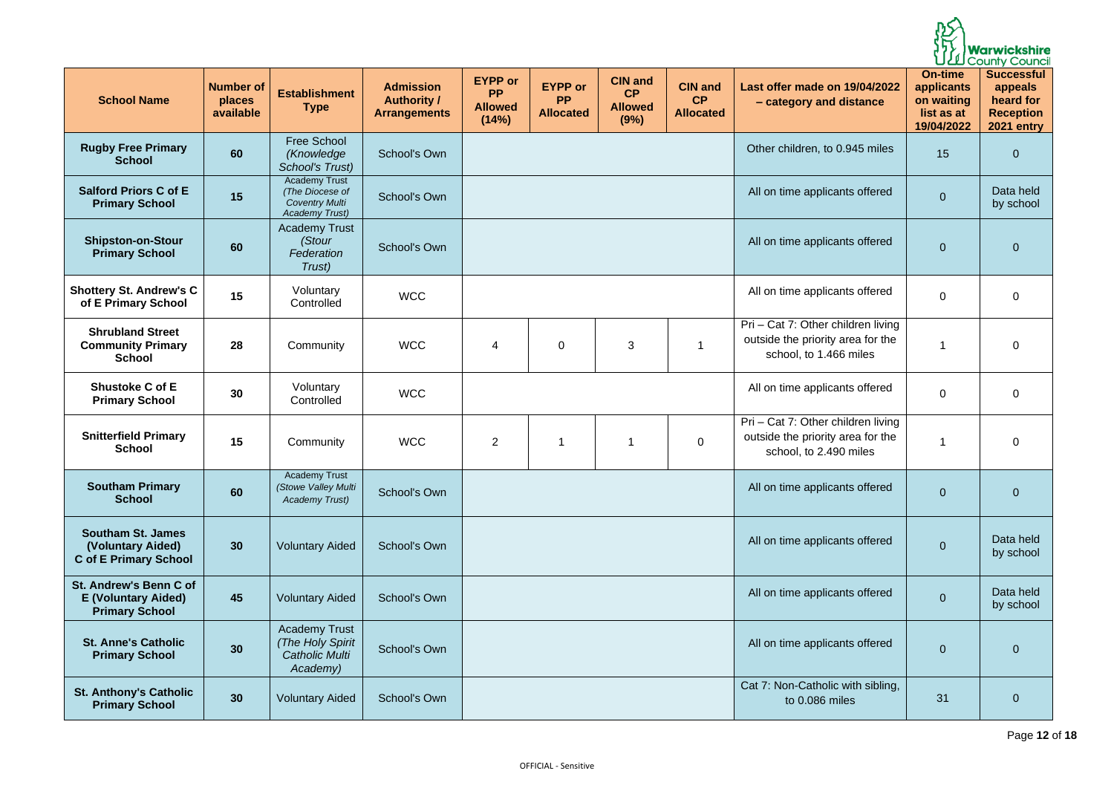Page **12** of **18**

|                                                                               |                                         |                                                                                           |                                                               |                                                        |                                                 |                                                       |                                          |                                                                                                   |                                                                        | <b>Warwickshire</b><br>LLI County Council                                          |
|-------------------------------------------------------------------------------|-----------------------------------------|-------------------------------------------------------------------------------------------|---------------------------------------------------------------|--------------------------------------------------------|-------------------------------------------------|-------------------------------------------------------|------------------------------------------|---------------------------------------------------------------------------------------------------|------------------------------------------------------------------------|------------------------------------------------------------------------------------|
| <b>School Name</b>                                                            | <b>Number of</b><br>places<br>available | <b>Establishment</b><br><b>Type</b>                                                       | <b>Admission</b><br><b>Authority /</b><br><b>Arrangements</b> | <b>EYPP or</b><br><b>PP</b><br><b>Allowed</b><br>(14%) | <b>EYPP or</b><br><b>PP</b><br><b>Allocated</b> | <b>CIN and</b><br><b>CP</b><br><b>Allowed</b><br>(9%) | <b>CIN and</b><br>CP<br><b>Allocated</b> | Last offer made on 19/04/2022<br>- category and distance                                          | <b>On-time</b><br>applicants<br>on waiting<br>list as at<br>19/04/2022 | <b>Successful</b><br>appeals<br>heard for<br><b>Reception</b><br><b>2021 entry</b> |
| <b>Rugby Free Primary</b><br><b>School</b>                                    | 60                                      | <b>Free School</b><br>(Knowledge<br>School's Trust)                                       | <b>School's Own</b>                                           |                                                        |                                                 |                                                       |                                          | Other children, to 0.945 miles                                                                    | 15                                                                     | $\overline{0}$                                                                     |
| <b>Salford Priors C of E</b><br><b>Primary School</b>                         | 15                                      | <b>Academy Trust</b><br>(The Diocese of<br><b>Coventry Multi</b><br><b>Academy Trust)</b> | <b>School's Own</b>                                           |                                                        |                                                 |                                                       |                                          | All on time applicants offered                                                                    | $\overline{0}$                                                         | Data held<br>by school                                                             |
| <b>Shipston-on-Stour</b><br><b>Primary School</b>                             | 60                                      | <b>Academy Trust</b><br>(Stour<br>Federation<br>Trust)                                    | <b>School's Own</b>                                           |                                                        |                                                 |                                                       |                                          | All on time applicants offered                                                                    | $\overline{0}$                                                         | $\overline{0}$                                                                     |
| <b>Shottery St. Andrew's C</b><br>of E Primary School                         | 15                                      | Voluntary<br>Controlled                                                                   | <b>WCC</b>                                                    |                                                        |                                                 |                                                       |                                          | All on time applicants offered                                                                    | $\mathbf 0$                                                            | $\overline{0}$                                                                     |
| <b>Shrubland Street</b><br><b>Community Primary</b><br><b>School</b>          | 28                                      | Community                                                                                 | <b>WCC</b>                                                    | 4                                                      | $\mathbf 0$                                     | 3                                                     | -1                                       | Pri - Cat 7: Other children living<br>outside the priority area for the<br>school, to 1.466 miles |                                                                        | $\overline{0}$                                                                     |
| <b>Shustoke C of E</b><br><b>Primary School</b>                               | 30                                      | Voluntary<br>Controlled                                                                   | <b>WCC</b>                                                    |                                                        |                                                 |                                                       |                                          | All on time applicants offered                                                                    | $\mathbf 0$                                                            | $\mathbf 0$                                                                        |
| <b>Snitterfield Primary</b><br><b>School</b>                                  | 15                                      | Community                                                                                 | <b>WCC</b>                                                    | $\overline{2}$                                         | 1                                               |                                                       | $\mathbf 0$                              | Pri - Cat 7: Other children living<br>outside the priority area for the<br>school, to 2.490 miles |                                                                        | $\mathbf 0$                                                                        |
| <b>Southam Primary</b><br><b>School</b>                                       | 60                                      | <b>Academy Trust</b><br>(Stowe Valley Multi<br><b>Academy Trust)</b>                      | <b>School's Own</b>                                           |                                                        |                                                 |                                                       |                                          | All on time applicants offered                                                                    | $\overline{0}$                                                         | $\overline{0}$                                                                     |
| <b>Southam St. James</b><br>(Voluntary Aided)<br><b>C of E Primary School</b> | 30                                      | <b>Voluntary Aided</b>                                                                    | <b>School's Own</b>                                           |                                                        |                                                 |                                                       |                                          | All on time applicants offered                                                                    | $\overline{0}$                                                         | Data held<br>by school                                                             |
| St. Andrew's Benn C of<br><b>E (Voluntary Aided)</b><br><b>Primary School</b> | 45                                      | <b>Voluntary Aided</b>                                                                    | <b>School's Own</b>                                           |                                                        |                                                 |                                                       |                                          | All on time applicants offered                                                                    | $\overline{0}$                                                         | Data held<br>by school                                                             |
| <b>St. Anne's Catholic</b><br><b>Primary School</b>                           | 30                                      | <b>Academy Trust</b><br>(The Holy Spirit<br><b>Catholic Multi</b><br>Academy)             | <b>School's Own</b>                                           |                                                        |                                                 |                                                       |                                          | All on time applicants offered                                                                    | $\overline{0}$                                                         | $\overline{0}$                                                                     |
| <b>St. Anthony's Catholic</b><br><b>Primary School</b>                        | 30                                      | <b>Voluntary Aided</b>                                                                    | <b>School's Own</b>                                           |                                                        |                                                 |                                                       |                                          | Cat 7: Non-Catholic with sibling,<br>to 0.086 miles                                               | 31                                                                     | $\overline{0}$                                                                     |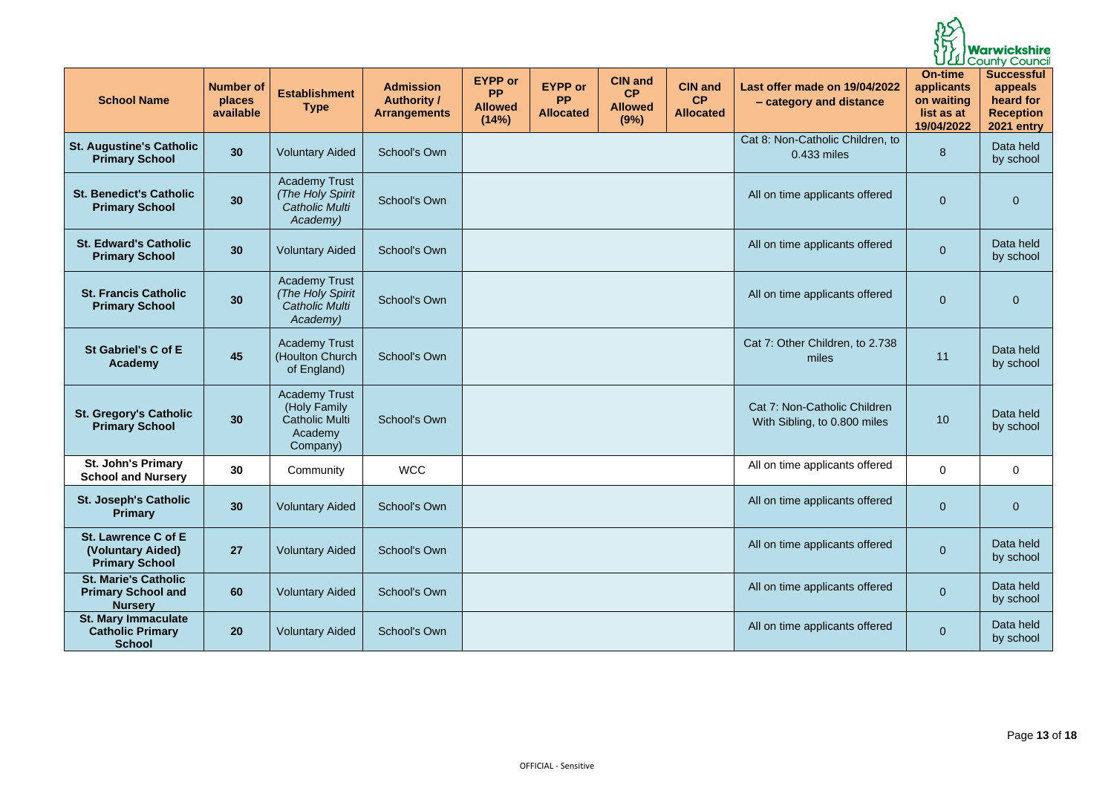|                                                                            |                                         |                                                                                      |                                                               |                                                        |                                                 |                                                |                                          |                                                              |                                                                        | Warwickshire<br>UU County Council                                           |
|----------------------------------------------------------------------------|-----------------------------------------|--------------------------------------------------------------------------------------|---------------------------------------------------------------|--------------------------------------------------------|-------------------------------------------------|------------------------------------------------|------------------------------------------|--------------------------------------------------------------|------------------------------------------------------------------------|-----------------------------------------------------------------------------|
| <b>School Name</b>                                                         | <b>Number of</b><br>places<br>available | <b>Establishment</b><br><b>Type</b>                                                  | <b>Admission</b><br><b>Authority /</b><br><b>Arrangements</b> | <b>EYPP</b> or<br><b>PP</b><br><b>Allowed</b><br>(14%) | <b>EYPP or</b><br><b>PP</b><br><b>Allocated</b> | <b>CIN and</b><br>CP<br><b>Allowed</b><br>(9%) | <b>CIN and</b><br>CP<br><b>Allocated</b> | Last offer made on 19/04/2022<br>- category and distance     | <b>On-time</b><br>applicants<br>on waiting<br>list as at<br>19/04/2022 | Successful<br>appeals<br>heard for<br><b>Reception</b><br><b>2021 entry</b> |
| <b>St. Augustine's Catholic</b><br><b>Primary School</b>                   | 30                                      | <b>Voluntary Aided</b>                                                               | <b>School's Own</b>                                           |                                                        |                                                 |                                                |                                          | Cat 8: Non-Catholic Children, to<br>0.433 miles              | 8                                                                      | Data held<br>by school                                                      |
| <b>St. Benedict's Catholic</b><br><b>Primary School</b>                    | 30                                      | <b>Academy Trust</b><br>(The Holy Spirit<br><b>Catholic Multi</b><br>Academy)        | <b>School's Own</b>                                           |                                                        |                                                 |                                                |                                          | All on time applicants offered                               | $\overline{0}$                                                         | $\overline{0}$                                                              |
| <b>St. Edward's Catholic</b><br><b>Primary School</b>                      | 30                                      | <b>Voluntary Aided</b>                                                               | <b>School's Own</b>                                           |                                                        |                                                 |                                                |                                          | All on time applicants offered                               | $\overline{0}$                                                         | Data held<br>by school                                                      |
| <b>St. Francis Catholic</b><br><b>Primary School</b>                       | 30                                      | <b>Academy Trust</b><br>(The Holy Spirit<br><b>Catholic Multi</b><br>Academy)        | <b>School's Own</b>                                           |                                                        |                                                 |                                                |                                          | All on time applicants offered                               | $\overline{0}$                                                         | $\overline{0}$                                                              |
| <b>St Gabriel's C of E</b><br><b>Academy</b>                               | 45                                      | <b>Academy Trust</b><br>(Houlton Church<br>of England)                               | <b>School's Own</b>                                           |                                                        |                                                 |                                                |                                          | Cat 7: Other Children, to 2.738<br>miles                     | 11                                                                     | Data held<br>by school                                                      |
| <b>St. Gregory's Catholic</b><br><b>Primary School</b>                     | 30                                      | <b>Academy Trust</b><br>(Holy Family<br><b>Catholic Multi</b><br>Academy<br>Company) | <b>School's Own</b>                                           |                                                        |                                                 |                                                |                                          | Cat 7: Non-Catholic Children<br>With Sibling, to 0.800 miles | 10                                                                     | Data held<br>by school                                                      |
| <b>St. John's Primary</b><br><b>School and Nursery</b>                     | 30                                      | Community                                                                            | <b>WCC</b>                                                    |                                                        |                                                 |                                                |                                          | All on time applicants offered                               | $\mathbf 0$                                                            | 0                                                                           |
| <b>St. Joseph's Catholic</b><br><b>Primary</b>                             | 30                                      | <b>Voluntary Aided</b>                                                               | <b>School's Own</b>                                           |                                                        |                                                 |                                                |                                          | All on time applicants offered                               | $\overline{0}$                                                         | $\overline{0}$                                                              |
| St. Lawrence C of E<br>(Voluntary Aided)<br><b>Primary School</b>          | 27                                      | <b>Voluntary Aided</b>                                                               | <b>School's Own</b>                                           |                                                        |                                                 |                                                |                                          | All on time applicants offered                               | $\overline{0}$                                                         | Data held<br>by school                                                      |
| <b>St. Marie's Catholic</b><br><b>Primary School and</b><br><b>Nursery</b> | 60                                      | <b>Voluntary Aided</b>                                                               | <b>School's Own</b>                                           |                                                        |                                                 |                                                |                                          | All on time applicants offered                               | $\overline{0}$                                                         | Data held<br>by school                                                      |
| <b>St. Mary Immaculate</b><br><b>Catholic Primary</b><br><b>School</b>     | <b>20</b>                               | <b>Voluntary Aided</b>                                                               | School's Own                                                  |                                                        |                                                 |                                                |                                          | All on time applicants offered                               | $\overline{0}$                                                         | Data held<br>by school                                                      |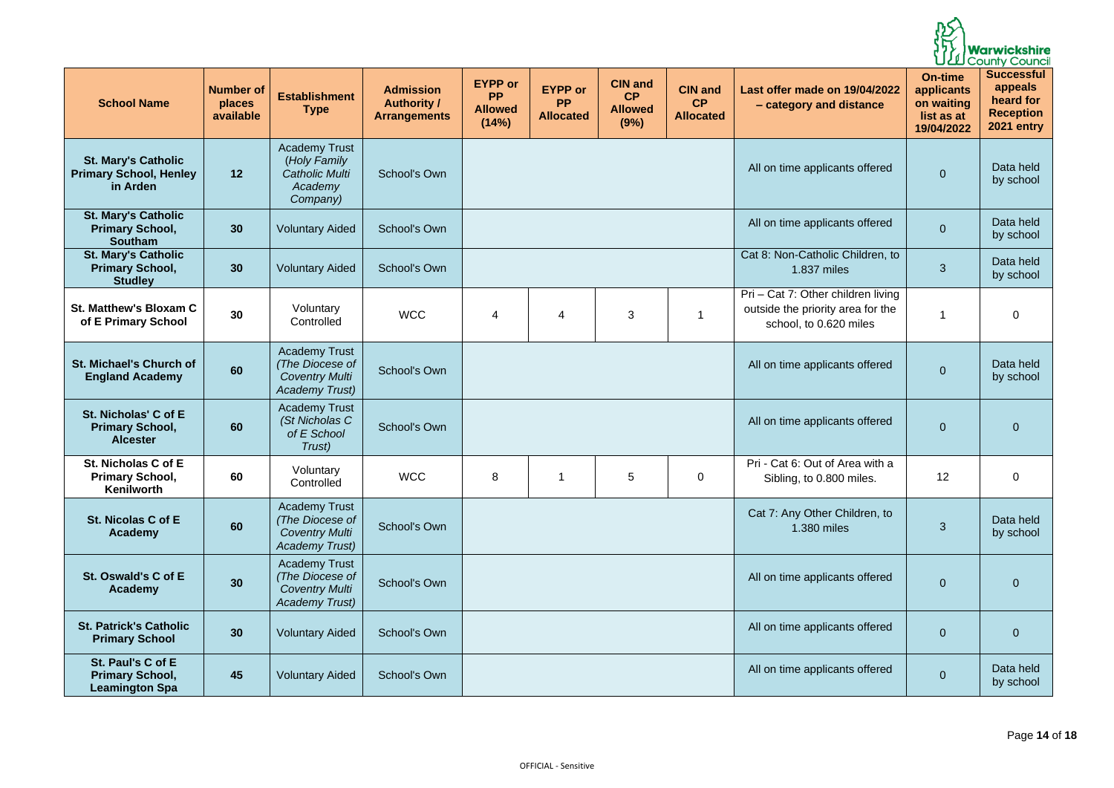|                                                                         |                                         |                                                                                           |                                                               |                                                        |                                                 |                                                |                                                 |                                                                                                   |                                                                        | <b>Warwickshire</b><br>LLI County Council                                   |
|-------------------------------------------------------------------------|-----------------------------------------|-------------------------------------------------------------------------------------------|---------------------------------------------------------------|--------------------------------------------------------|-------------------------------------------------|------------------------------------------------|-------------------------------------------------|---------------------------------------------------------------------------------------------------|------------------------------------------------------------------------|-----------------------------------------------------------------------------|
| <b>School Name</b>                                                      | <b>Number of</b><br>places<br>available | <b>Establishment</b><br><b>Type</b>                                                       | <b>Admission</b><br><b>Authority /</b><br><b>Arrangements</b> | <b>EYPP</b> or<br><b>PP</b><br><b>Allowed</b><br>(14%) | <b>EYPP or</b><br><b>PP</b><br><b>Allocated</b> | <b>CIN and</b><br>CP<br><b>Allowed</b><br>(9%) | <b>CIN and</b><br><b>CP</b><br><b>Allocated</b> | Last offer made on 19/04/2022<br>- category and distance                                          | <b>On-time</b><br>applicants<br>on waiting<br>list as at<br>19/04/2022 | Successful<br>appeals<br>heard for<br><b>Reception</b><br><b>2021 entry</b> |
| <b>St. Mary's Catholic</b><br><b>Primary School, Henley</b><br>in Arden | 12                                      | <b>Academy Trust</b><br>(Holy Family<br><b>Catholic Multi</b><br>Academy<br>Company)      | <b>School's Own</b>                                           |                                                        |                                                 |                                                |                                                 | All on time applicants offered                                                                    | $\overline{0}$                                                         | Data held<br>by school                                                      |
| <b>St. Mary's Catholic</b><br><b>Primary School,</b><br><b>Southam</b>  | 30                                      | <b>Voluntary Aided</b>                                                                    | <b>School's Own</b>                                           |                                                        |                                                 |                                                |                                                 | All on time applicants offered                                                                    | $\overline{0}$                                                         | Data held<br>by school                                                      |
| <b>St. Mary's Catholic</b><br><b>Primary School,</b><br><b>Studley</b>  | 30                                      | <b>Voluntary Aided</b>                                                                    | School's Own                                                  |                                                        |                                                 |                                                |                                                 | Cat 8: Non-Catholic Children, to<br>1.837 miles                                                   | 3                                                                      | Data held<br>by school                                                      |
| <b>St. Matthew's Bloxam C</b><br>of E Primary School                    | 30                                      | Voluntary<br>Controlled                                                                   | <b>WCC</b>                                                    | 4                                                      | 4                                               | 3                                              |                                                 | Pri - Cat 7: Other children living<br>outside the priority area for the<br>school, to 0.620 miles |                                                                        | 0                                                                           |
| <b>St. Michael's Church of</b><br><b>England Academy</b>                | 60                                      | <b>Academy Trust</b><br>(The Diocese of<br><b>Coventry Multi</b><br><b>Academy Trust)</b> | School's Own                                                  |                                                        |                                                 |                                                |                                                 | All on time applicants offered                                                                    | $\overline{0}$                                                         | Data held<br>by school                                                      |
| St. Nicholas' C of E<br><b>Primary School,</b><br><b>Alcester</b>       | 60                                      | <b>Academy Trust</b><br>(St Nicholas C<br>of E School<br>Trust)                           | <b>School's Own</b>                                           |                                                        |                                                 |                                                |                                                 | All on time applicants offered                                                                    | $\overline{0}$                                                         | 0                                                                           |
| St. Nicholas C of E<br><b>Primary School,</b><br><b>Kenilworth</b>      | 60                                      | Voluntary<br>Controlled                                                                   | <b>WCC</b>                                                    | 8                                                      | -1                                              | 5                                              | $\mathbf 0$                                     | Pri - Cat 6: Out of Area with a<br>Sibling, to 0.800 miles.                                       | 12                                                                     | $\overline{0}$                                                              |
| St. Nicolas C of E<br><b>Academy</b>                                    | 60                                      | <b>Academy Trust</b><br>(The Diocese of<br><b>Coventry Multi</b><br><b>Academy Trust)</b> | <b>School's Own</b>                                           |                                                        |                                                 |                                                |                                                 | Cat 7: Any Other Children, to<br>1.380 miles                                                      | 3                                                                      | Data held<br>by school                                                      |
| St. Oswald's C of E<br>Academy                                          | 30                                      | <b>Academy Trust</b><br>(The Diocese of<br><b>Coventry Multi</b><br><b>Academy Trust)</b> | <b>School's Own</b>                                           |                                                        |                                                 |                                                |                                                 | All on time applicants offered                                                                    | $\overline{0}$                                                         | $\overline{0}$                                                              |
| <b>St. Patrick's Catholic</b><br><b>Primary School</b>                  | 30                                      | <b>Voluntary Aided</b>                                                                    | <b>School's Own</b>                                           |                                                        |                                                 |                                                |                                                 | All on time applicants offered                                                                    | $\overline{0}$                                                         | $\overline{0}$                                                              |
| St. Paul's C of E<br><b>Primary School,</b><br><b>Leamington Spa</b>    | 45                                      | <b>Voluntary Aided</b>                                                                    | <b>School's Own</b>                                           |                                                        |                                                 |                                                |                                                 | All on time applicants offered                                                                    | $\overline{0}$                                                         | Data held<br>by school                                                      |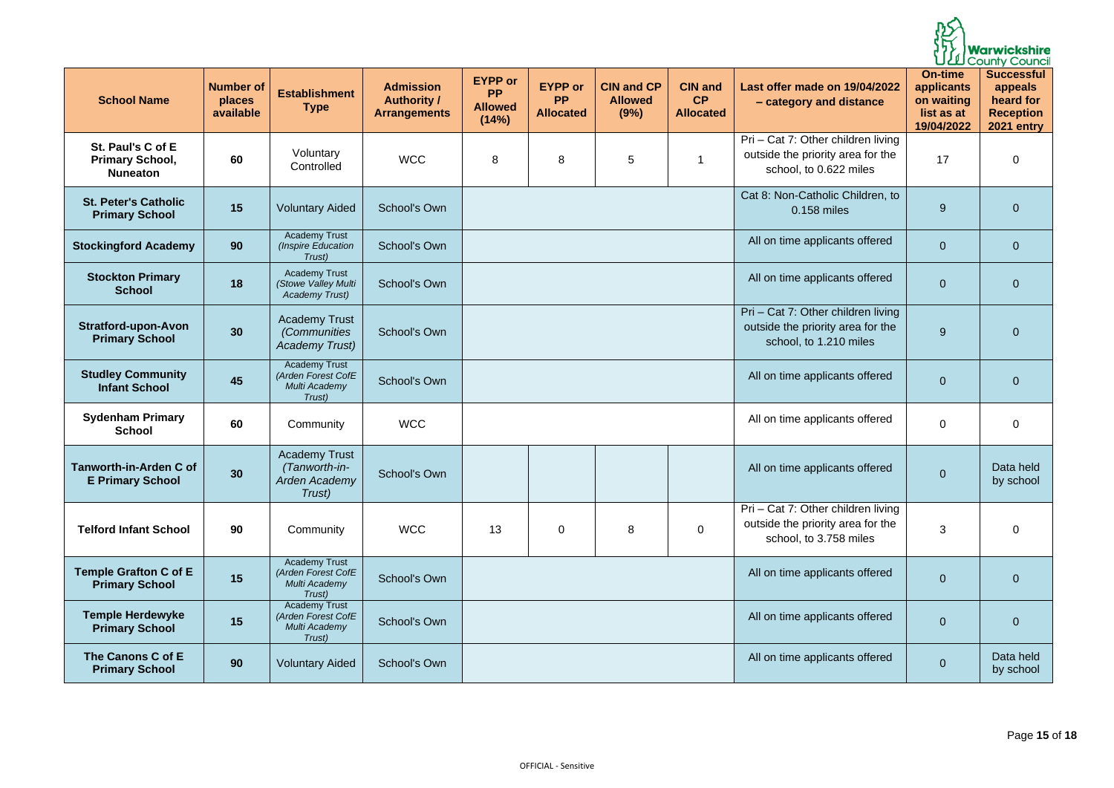|                                                                |                                         |                                                                         |                                                               |                                                        |                                                 |                                             |                                          |                                                                                                   |                                                                        | <b>Warwickshire</b><br>LLI County Council                                          |
|----------------------------------------------------------------|-----------------------------------------|-------------------------------------------------------------------------|---------------------------------------------------------------|--------------------------------------------------------|-------------------------------------------------|---------------------------------------------|------------------------------------------|---------------------------------------------------------------------------------------------------|------------------------------------------------------------------------|------------------------------------------------------------------------------------|
| <b>School Name</b>                                             | <b>Number of</b><br>places<br>available | <b>Establishment</b><br><b>Type</b>                                     | <b>Admission</b><br><b>Authority /</b><br><b>Arrangements</b> | <b>EYPP or</b><br><b>PP</b><br><b>Allowed</b><br>(14%) | <b>EYPP or</b><br><b>PP</b><br><b>Allocated</b> | <b>CIN and CP</b><br><b>Allowed</b><br>(9%) | <b>CIN and</b><br>CP<br><b>Allocated</b> | Last offer made on 19/04/2022<br>- category and distance                                          | <b>On-time</b><br>applicants<br>on waiting<br>list as at<br>19/04/2022 | <b>Successful</b><br>appeals<br>heard for<br><b>Reception</b><br><b>2021 entry</b> |
| St. Paul's C of E<br><b>Primary School,</b><br><b>Nuneaton</b> | 60                                      | Voluntary<br>Controlled                                                 | <b>WCC</b>                                                    | 8                                                      | 8                                               | 5                                           | -1                                       | Pri - Cat 7: Other children living<br>outside the priority area for the<br>school, to 0.622 miles | 17                                                                     | $\overline{0}$                                                                     |
| <b>St. Peter's Catholic</b><br><b>Primary School</b>           | 15                                      | <b>Voluntary Aided</b>                                                  | <b>School's Own</b>                                           |                                                        |                                                 |                                             |                                          | Cat 8: Non-Catholic Children, to<br>0.158 miles                                                   | 9                                                                      | $\overline{0}$                                                                     |
| <b>Stockingford Academy</b>                                    | 90                                      | <b>Academy Trust</b><br>(Inspire Education<br>Trust)                    | <b>School's Own</b>                                           |                                                        |                                                 |                                             |                                          | All on time applicants offered                                                                    | $\overline{0}$                                                         | $\overline{0}$                                                                     |
| <b>Stockton Primary</b><br><b>School</b>                       | 18                                      | <b>Academy Trust</b><br>(Stowe Valley Multi<br><b>Academy Trust)</b>    | <b>School's Own</b>                                           |                                                        |                                                 |                                             |                                          | All on time applicants offered                                                                    | $\overline{0}$                                                         | $\overline{0}$                                                                     |
| <b>Stratford-upon-Avon</b><br><b>Primary School</b>            | 30 <sub>2</sub>                         | <b>Academy Trust</b><br><i>(Communities</i><br><b>Academy Trust)</b>    | <b>School's Own</b>                                           |                                                        |                                                 |                                             |                                          | Pri - Cat 7: Other children living<br>outside the priority area for the<br>school, to 1.210 miles | 9                                                                      | $\overline{0}$                                                                     |
| <b>Studley Community</b><br><b>Infant School</b>               | 45                                      | <b>Academy Trust</b><br>(Arden Forest CofE<br>Multi Academy<br>Trust)   | School's Own                                                  |                                                        |                                                 |                                             |                                          | All on time applicants offered                                                                    | $\overline{0}$                                                         | $\overline{0}$                                                                     |
| <b>Sydenham Primary</b><br><b>School</b>                       | 60                                      | Community                                                               | <b>WCC</b>                                                    |                                                        |                                                 |                                             |                                          | All on time applicants offered                                                                    | $\mathbf 0$                                                            | $\mathbf 0$                                                                        |
| <b>Tanworth-in-Arden C of</b><br><b>E Primary School</b>       | 30                                      | <b>Academy Trust</b><br>(Tanworth-in-<br><b>Arden Academy</b><br>Trust) | School's Own                                                  |                                                        |                                                 |                                             |                                          | All on time applicants offered                                                                    | $\overline{0}$                                                         | Data held<br>by school                                                             |
| <b>Telford Infant School</b>                                   | 90                                      | Community                                                               | <b>WCC</b>                                                    | 13                                                     | $\boldsymbol{0}$                                | 8                                           | $\mathbf 0$                              | Pri - Cat 7: Other children living<br>outside the priority area for the<br>school, to 3.758 miles | $\mathfrak{S}$                                                         | $\mathbf 0$                                                                        |
| <b>Temple Grafton C of E</b><br><b>Primary School</b>          | 15                                      | <b>Academy Trust</b><br>(Arden Forest CofE<br>Multi Academy<br>Trust)   | <b>School's Own</b>                                           |                                                        |                                                 |                                             |                                          | All on time applicants offered                                                                    | $\overline{0}$                                                         | $\overline{0}$                                                                     |
| <b>Temple Herdewyke</b><br><b>Primary School</b>               | 15                                      | <b>Academy Trust</b><br>(Arden Forest CofE<br>Multi Academy<br>Trust)   | <b>School's Own</b>                                           |                                                        |                                                 |                                             |                                          | All on time applicants offered                                                                    | $\overline{0}$                                                         | $\overline{0}$                                                                     |
| The Canons C of E<br><b>Primary School</b>                     | 90                                      | <b>Voluntary Aided</b>                                                  | School's Own                                                  |                                                        |                                                 |                                             |                                          | All on time applicants offered                                                                    | $\overline{0}$                                                         | Data held<br>by school                                                             |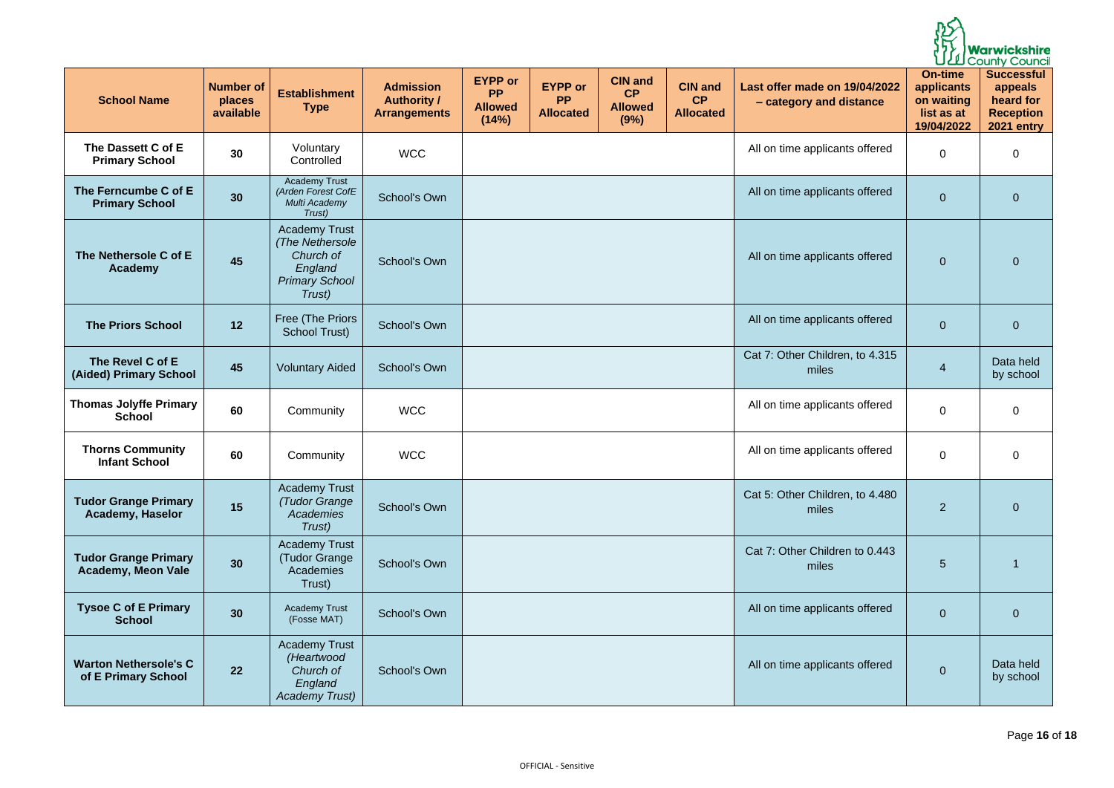Page **16** of **18**

|                                                          |                                         |                                                                                                    |                                                               |                                                        |                                                 |                                                |                                          |                                                          |                                                                        | <b>Warwickshire</b><br>LLI County Council                                          |
|----------------------------------------------------------|-----------------------------------------|----------------------------------------------------------------------------------------------------|---------------------------------------------------------------|--------------------------------------------------------|-------------------------------------------------|------------------------------------------------|------------------------------------------|----------------------------------------------------------|------------------------------------------------------------------------|------------------------------------------------------------------------------------|
| <b>School Name</b>                                       | <b>Number of</b><br>places<br>available | <b>Establishment</b><br><b>Type</b>                                                                | <b>Admission</b><br><b>Authority /</b><br><b>Arrangements</b> | <b>EYPP or</b><br><b>PP</b><br><b>Allowed</b><br>(14%) | <b>EYPP or</b><br><b>PP</b><br><b>Allocated</b> | <b>CIN and</b><br>CP<br><b>Allowed</b><br>(9%) | <b>CIN and</b><br>CP<br><b>Allocated</b> | Last offer made on 19/04/2022<br>- category and distance | <b>On-time</b><br>applicants<br>on waiting<br>list as at<br>19/04/2022 | <b>Successful</b><br>appeals<br>heard for<br><b>Reception</b><br><b>2021 entry</b> |
| The Dassett C of E<br><b>Primary School</b>              | 30                                      | Voluntary<br>Controlled                                                                            | <b>WCC</b>                                                    |                                                        |                                                 |                                                |                                          | All on time applicants offered                           | $\overline{0}$                                                         | $\mathbf 0$                                                                        |
| The Ferncumbe C of E<br><b>Primary School</b>            | 30                                      | <b>Academy Trust</b><br>(Arden Forest CofE<br>Multi Academy<br>Trust)                              | School's Own                                                  |                                                        |                                                 |                                                |                                          | All on time applicants offered                           | $\overline{0}$                                                         | $\overline{0}$                                                                     |
| The Nethersole C of E<br>Academy                         | 45                                      | <b>Academy Trust</b><br>(The Nethersole<br>Church of<br>England<br><b>Primary School</b><br>Trust) | <b>School's Own</b>                                           |                                                        |                                                 |                                                |                                          | All on time applicants offered                           | $\overline{0}$                                                         | $\overline{0}$                                                                     |
| <b>The Priors School</b>                                 | 12                                      | Free (The Priors<br><b>School Trust)</b>                                                           | School's Own                                                  |                                                        |                                                 |                                                |                                          | All on time applicants offered                           | $\overline{0}$                                                         | $\overline{0}$                                                                     |
| The Revel C of E<br>(Aided) Primary School               | 45                                      | <b>Voluntary Aided</b>                                                                             | School's Own                                                  |                                                        |                                                 |                                                |                                          | Cat 7: Other Children, to 4.315<br>miles                 | $\overline{4}$                                                         | Data held<br>by school                                                             |
| <b>Thomas Jolyffe Primary</b><br><b>School</b>           | 60                                      | Community                                                                                          | <b>WCC</b>                                                    |                                                        |                                                 |                                                |                                          | All on time applicants offered                           | $\mathbf 0$                                                            | $\overline{0}$                                                                     |
| <b>Thorns Community</b><br><b>Infant School</b>          | 60                                      | Community                                                                                          | <b>WCC</b>                                                    |                                                        |                                                 |                                                |                                          | All on time applicants offered                           | $\mathbf 0$                                                            | $\overline{0}$                                                                     |
| <b>Tudor Grange Primary</b><br><b>Academy, Haselor</b>   | 15                                      | <b>Academy Trust</b><br><b>(Tudor Grange</b><br>Academies<br>Trust)                                | <b>School's Own</b>                                           |                                                        |                                                 |                                                |                                          | Cat 5: Other Children, to 4.480<br>miles                 | $\overline{2}$                                                         | $\overline{0}$                                                                     |
| <b>Tudor Grange Primary</b><br><b>Academy, Meon Vale</b> | 30                                      | <b>Academy Trust</b><br>(Tudor Grange<br>Academies<br>Trust)                                       | <b>School's Own</b>                                           |                                                        |                                                 |                                                |                                          | Cat 7: Other Children to 0.443<br>miles                  | $5\overline{)}$                                                        |                                                                                    |
| <b>Tysoe C of E Primary</b><br><b>School</b>             | 30                                      | <b>Academy Trust</b><br>(Fosse MAT)                                                                | <b>School's Own</b>                                           |                                                        |                                                 |                                                |                                          | All on time applicants offered                           | $\overline{0}$                                                         | $\overline{0}$                                                                     |
| <b>Warton Nethersole's C</b><br>of E Primary School      | 22                                      | <b>Academy Trust</b><br>(Heartwood<br>Church of<br>England<br><b>Academy Trust)</b>                | <b>School's Own</b>                                           |                                                        |                                                 |                                                |                                          | All on time applicants offered                           | $\overline{0}$                                                         | Data held<br>by school                                                             |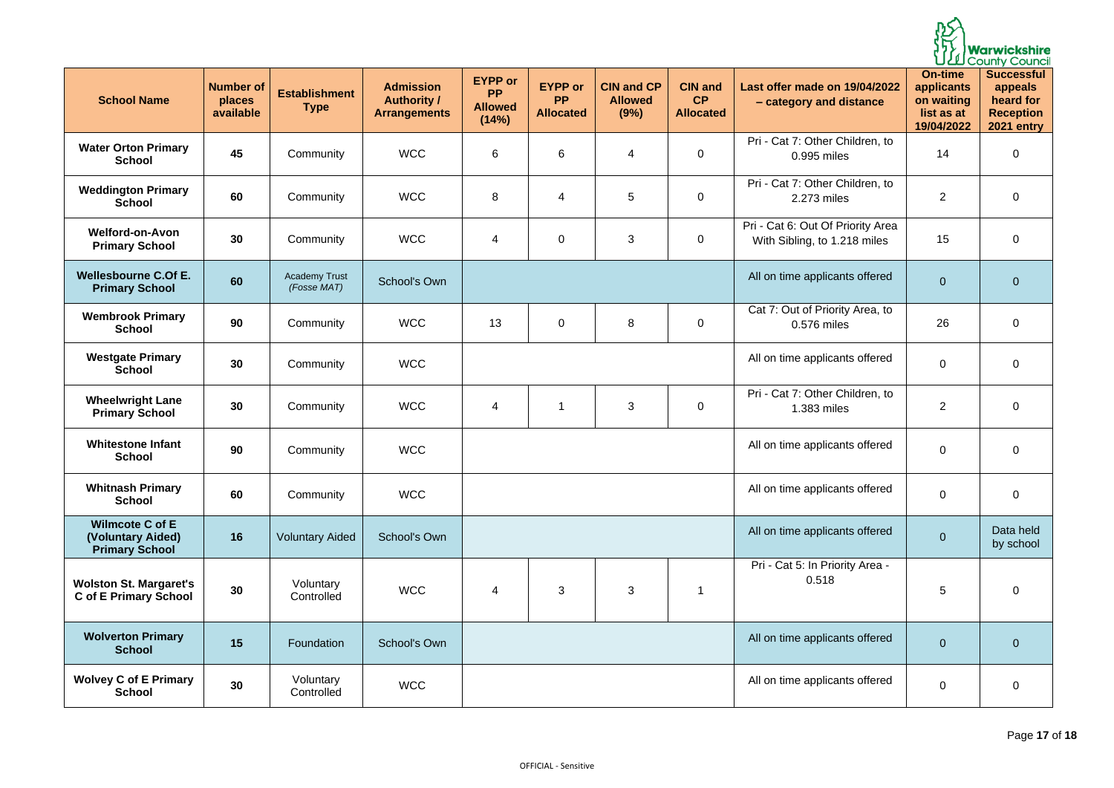Page **17** of **18**

| AYY Warwickshire |
|------------------|

| <b>School Name</b>                                                   | <b>Number of</b><br>places<br>available | <b>Establishment</b><br><b>Type</b> | <b>Admission</b><br><b>Authority /</b><br><b>Arrangements</b> | <b>EYPP or</b><br><b>PP</b><br><b>Allowed</b><br>(14%) | <b>EYPP or</b><br><b>PP</b><br><b>Allocated</b> | <b>CIN and CP</b><br><b>Allowed</b><br>(9%) | <b>CIN and</b><br>CP<br><b>Allocated</b> | Last offer made on 19/04/2022<br>- category and distance          | <b>On-time</b><br>applicants<br>on waiting<br>list as at<br>19/04/2022 | <b>Successful</b><br>appeals<br>heard for<br><b>Reception</b><br><b>2021 entry</b> |
|----------------------------------------------------------------------|-----------------------------------------|-------------------------------------|---------------------------------------------------------------|--------------------------------------------------------|-------------------------------------------------|---------------------------------------------|------------------------------------------|-------------------------------------------------------------------|------------------------------------------------------------------------|------------------------------------------------------------------------------------|
| <b>Water Orton Primary</b><br><b>School</b>                          | 45                                      | Community                           | <b>WCC</b>                                                    | $6\phantom{1}6$                                        | 6                                               | $\overline{4}$                              | $\boldsymbol{0}$                         | Pri - Cat 7: Other Children, to<br>0.995 miles                    | 14                                                                     | 0                                                                                  |
| <b>Weddington Primary</b><br><b>School</b>                           | 60                                      | Community                           | <b>WCC</b>                                                    | 8                                                      | $\overline{4}$                                  | 5                                           | $\mathbf 0$                              | Pri - Cat 7: Other Children, to<br>2.273 miles                    | $\overline{2}$                                                         | $\overline{0}$                                                                     |
| <b>Welford-on-Avon</b><br><b>Primary School</b>                      | 30                                      | Community                           | <b>WCC</b>                                                    | $\overline{4}$                                         | $\mathbf 0$                                     | 3                                           | $\mathbf 0$                              | Pri - Cat 6: Out Of Priority Area<br>With Sibling, to 1.218 miles | 15                                                                     | 0                                                                                  |
| <b>Wellesbourne C.Of E.</b><br><b>Primary School</b>                 | 60                                      | <b>Academy Trust</b><br>(Fosse MAT) | School's Own                                                  |                                                        |                                                 |                                             |                                          | All on time applicants offered                                    | $\mathbf 0$                                                            | $\overline{0}$                                                                     |
| <b>Wembrook Primary</b><br><b>School</b>                             | 90                                      | Community                           | <b>WCC</b>                                                    | 13                                                     | $\boldsymbol{0}$                                | 8                                           | $\mathbf 0$                              | Cat 7: Out of Priority Area, to<br>0.576 miles                    | 26                                                                     | 0                                                                                  |
| <b>Westgate Primary</b><br><b>School</b>                             | 30                                      | Community                           | <b>WCC</b>                                                    |                                                        |                                                 |                                             |                                          | All on time applicants offered                                    | $\mathbf 0$                                                            | $\overline{0}$                                                                     |
| <b>Wheelwright Lane</b><br><b>Primary School</b>                     | 30                                      | Community                           | <b>WCC</b>                                                    | $\overline{4}$                                         | $\overline{\mathbf{1}}$                         | 3                                           | $\mathbf 0$                              | Pri - Cat 7: Other Children, to<br>1.383 miles                    | $\overline{2}$                                                         | $\overline{0}$                                                                     |
| <b>Whitestone Infant</b><br><b>School</b>                            | 90                                      | Community                           | <b>WCC</b>                                                    |                                                        |                                                 |                                             |                                          | All on time applicants offered                                    | $\overline{0}$                                                         | $\overline{0}$                                                                     |
| <b>Whitnash Primary</b><br><b>School</b>                             | 60                                      | Community                           | <b>WCC</b>                                                    |                                                        |                                                 |                                             |                                          | All on time applicants offered                                    | $\mathbf 0$                                                            | 0                                                                                  |
| <b>Wilmcote C of E</b><br>(Voluntary Aided)<br><b>Primary School</b> | 16                                      | <b>Voluntary Aided</b>              | <b>School's Own</b>                                           |                                                        |                                                 |                                             |                                          | All on time applicants offered                                    | $\mathbf{0}$                                                           | Data held<br>by school                                                             |
| <b>Wolston St. Margaret's</b><br><b>C of E Primary School</b>        | 30                                      | Voluntary<br>Controlled             | <b>WCC</b>                                                    | 4                                                      | 3                                               | 3                                           |                                          | Pri - Cat 5: In Priority Area -<br>0.518                          | 5                                                                      | 0                                                                                  |
| <b>Wolverton Primary</b><br><b>School</b>                            | 15                                      | Foundation                          | School's Own                                                  |                                                        |                                                 |                                             |                                          | All on time applicants offered                                    | $\boldsymbol{0}$                                                       | $\overline{0}$                                                                     |
| <b>Wolvey C of E Primary</b><br><b>School</b>                        | 30                                      | Voluntary<br>Controlled             | <b>WCC</b>                                                    |                                                        |                                                 |                                             |                                          | All on time applicants offered                                    | $\mathbf 0$                                                            | 0                                                                                  |